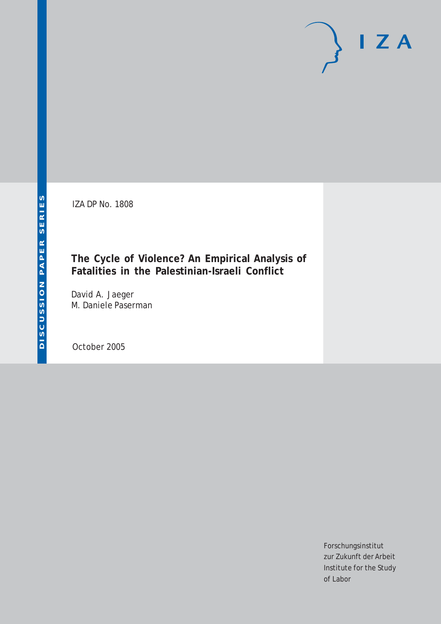IZA DP No. 1808

# **The Cycle of Violence? An Empirical Analysis of Fatalities in the Palestinian-Israeli Conflict**

David A. Jaeger M. Daniele Paserman

October 2005

Forschungsinstitut zur Zukunft der Arbeit Institute for the Study of Labor

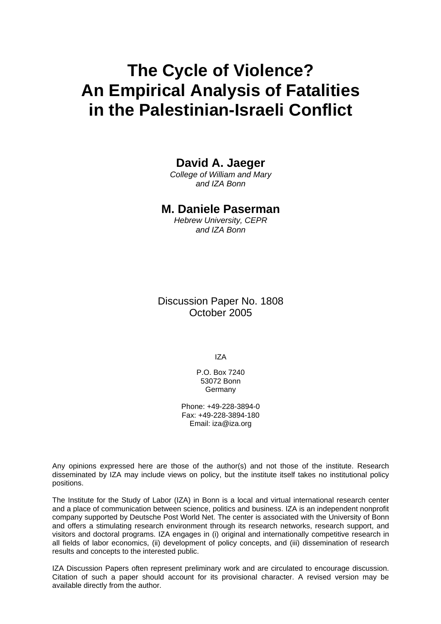# **The Cycle of Violence? An Empirical Analysis of Fatalities in the Palestinian-Israeli Conflict**

# **David A. Jaeger**

*College of William and Mary and IZA Bonn* 

### **M. Daniele Paserman**

*Hebrew University, CEPR and IZA Bonn* 

Discussion Paper No. 1808 October 2005

IZA

P.O. Box 7240 53072 Bonn **Germany** 

Phone: +49-228-3894-0 Fax: +49-228-3894-180 Email: [iza@iza.org](mailto:iza@iza.org)

Any opinions expressed here are those of the author(s) and not those of the institute. Research disseminated by IZA may include views on policy, but the institute itself takes no institutional policy positions.

The Institute for the Study of Labor (IZA) in Bonn is a local and virtual international research center and a place of communication between science, politics and business. IZA is an independent nonprofit company supported by Deutsche Post World Net. The center is associated with the University of Bonn and offers a stimulating research environment through its research networks, research support, and visitors and doctoral programs. IZA engages in (i) original and internationally competitive research in all fields of labor economics, (ii) development of policy concepts, and (iii) dissemination of research results and concepts to the interested public.

IZA Discussion Papers often represent preliminary work and are circulated to encourage discussion. Citation of such a paper should account for its provisional character. A revised version may be available directly from the author.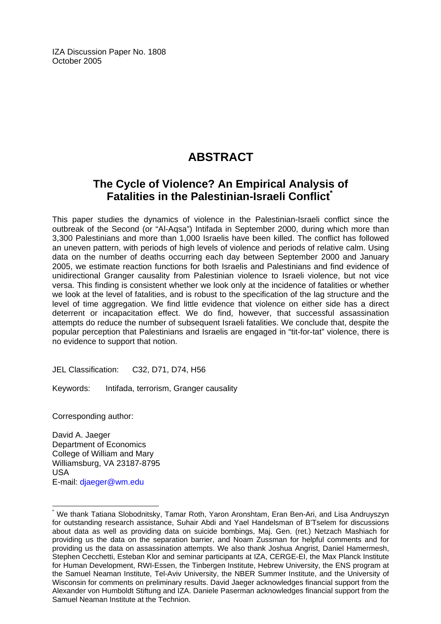IZA Discussion Paper No. 1808 October 2005

# **ABSTRACT**

# **The Cycle of Violence? An Empirical Analysis of Fatalities in the Palestinian-Israeli Conflict[\\*](#page-2-0)**

This paper studies the dynamics of violence in the Palestinian-Israeli conflict since the outbreak of the Second (or "Al-Aqsa") Intifada in September 2000, during which more than 3,300 Palestinians and more than 1,000 Israelis have been killed. The conflict has followed an uneven pattern, with periods of high levels of violence and periods of relative calm. Using data on the number of deaths occurring each day between September 2000 and January 2005, we estimate reaction functions for both Israelis and Palestinians and find evidence of unidirectional Granger causality from Palestinian violence to Israeli violence, but not vice versa. This finding is consistent whether we look only at the incidence of fatalities or whether we look at the level of fatalities, and is robust to the specification of the lag structure and the level of time aggregation. We find little evidence that violence on either side has a direct deterrent or incapacitation effect. We do find, however, that successful assassination attempts do reduce the number of subsequent Israeli fatalities. We conclude that, despite the popular perception that Palestinians and Israelis are engaged in "tit-for-tat" violence, there is no evidence to support that notion.

JEL Classification: C32, D71, D74, H56

Keywords: Intifada, terrorism, Granger causality

Corresponding author:

 $\overline{a}$ 

David A. Jaeger Department of Economics College of William and Mary Williamsburg, VA 23187-8795 USA E-mail: [djaeger@wm.edu](mailto:djaeger@wm.edu)

<span id="page-2-0"></span><sup>\*</sup> We thank Tatiana Slobodnitsky, Tamar Roth, Yaron Aronshtam, Eran Ben-Ari, and Lisa Andruyszyn for outstanding research assistance, Suhair Abdi and Yael Handelsman of B'Tselem for discussions about data as well as providing data on suicide bombings, Maj. Gen. (ret.) Netzach Mashiach for providing us the data on the separation barrier, and Noam Zussman for helpful comments and for providing us the data on assassination attempts. We also thank Joshua Angrist, Daniel Hamermesh, Stephen Cecchetti, Esteban Klor and seminar participants at IZA, CERGE-EI, the Max Planck Institute for Human Development, RWI-Essen, the Tinbergen Institute, Hebrew University, the ENS program at the Samuel Neaman Institute, Tel-Aviv University, the NBER Summer Institute, and the University of Wisconsin for comments on preliminary results. David Jaeger acknowledges financial support from the Alexander von Humboldt Stiftung and IZA. Daniele Paserman acknowledges financial support from the Samuel Neaman Institute at the Technion.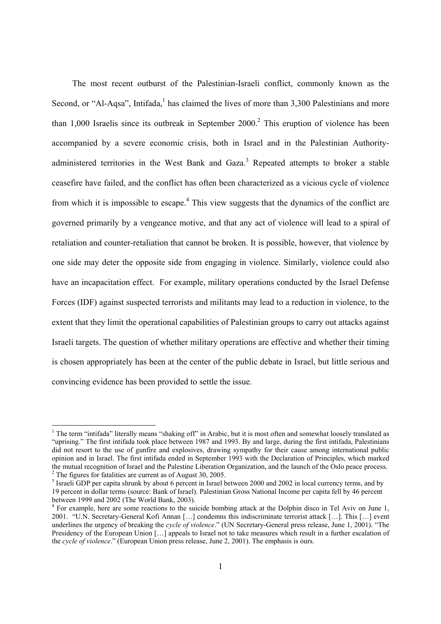The most recent outburst of the Palestinian-Israeli conflict, commonly known as the Second, or "Al-Agsa", Intifada, has claimed the lives of more than 3,300 Palestinians and more than 1,000 Israelis since its outbreak in September  $2000<sup>2</sup>$ . This eruption of violence has been accompanied by a severe economic crisis, both in Israel and in the Palestinian Authorityadministered territories in the West Bank and Gaza.<sup>3</sup> Repeated attempts to broker a stable ceasefire have failed, and the conflict has often been characterized as a vicious cycle of violence from which it is impossible to escape.<sup>4</sup> This view suggests that the dynamics of the conflict are governed primarily by a vengeance motive, and that any act of violence will lead to a spiral of retaliation and counter-retaliation that cannot be broken. It is possible, however, that violence by one side may deter the opposite side from engaging in violence. Similarly, violence could also have an incapacitation effect. For example, military operations conducted by the Israel Defense Forces (IDF) against suspected terrorists and militants may lead to a reduction in violence, to the extent that they limit the operational capabilities of Palestinian groups to carry out attacks against Israeli targets. The question of whether military operations are effective and whether their timing is chosen appropriately has been at the center of the public debate in Israel, but little serious and convincing evidence has been provided to settle the issue.

<sup>&</sup>lt;sup>1</sup> The term "intifada" literally means "shaking off" in Arabic, but it is most often and somewhat loosely translated as "uprising." The first intifada took place between 1987 and 1993. By and large, during the first intifada, Palestinians did not resort to the use of gunfire and explosives, drawing sympathy for their cause among international public opinion and in Israel. The first intifada ended in September 1993 with the Declaration of Principles, which marked the mutual recognition of Israel and the Palestine Liberation Organization, and the launch of the Oslo peace process.  $2$  The figures for fatalities are current as of August 30, 2005.

 $3$  Israeli GDP per capita shrunk by about 6 percent in Israel between 2000 and 2002 in local currency terms, and by 19 percent in dollar terms (source: Bank of Israel). Palestinian Gross National Income per capita fell by 46 percent between 1999 and 2002 (The World Bank, 2003).

 $4$  For example, here are some reactions to the suicide bombing attack at the Dolphin disco in Tel Aviv on June 1, 2001. "U.N. Secretary-General Kofi Annan [...] condemns this indiscriminate terrorist attack [...]. This [...] event underlines the urgency of breaking the cycle of violence." (UN Secretary-General press release, June 1, 2001). "The Presidency of the European Union [...] appeals to Israel not to take measures which result in a further escalation of the cycle of violence." (European Union press release, June 2, 2001). The emphasis is ours.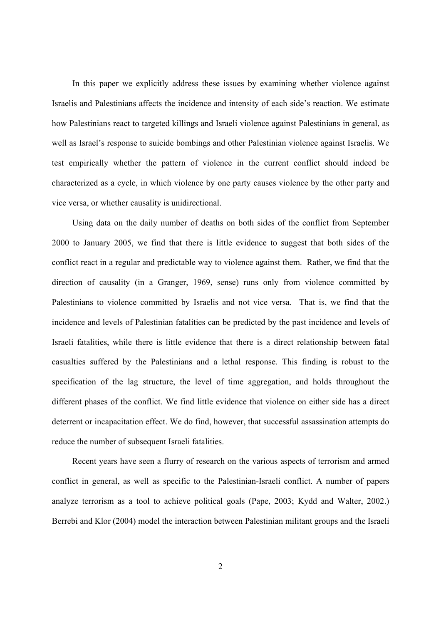In this paper we explicitly address these issues by examining whether violence against Israelis and Palestinians affects the incidence and intensity of each side's reaction. We estimate how Palestinians react to targeted killings and Israeli violence against Palestinians in general, as well as Israel's response to suicide bombings and other Palestinian violence against Israelis. We test empirically whether the pattern of violence in the current conflict should indeed be characterized as a cycle, in which violence by one party causes violence by the other party and vice versa, or whether causality is unidirectional.

Using data on the daily number of deaths on both sides of the conflict from September 2000 to January 2005, we find that there is little evidence to suggest that both sides of the conflict react in a regular and predictable way to violence against them. Rather, we find that the direction of causality (in a Granger, 1969, sense) runs only from violence committed by Palestinians to violence committed by Israelis and not vice versa. That is, we find that the incidence and levels of Palestinian fatalities can be predicted by the past incidence and levels of Israeli fatalities, while there is little evidence that there is a direct relationship between fatal casualties suffered by the Palestinians and a lethal response. This finding is robust to the specification of the lag structure, the level of time aggregation, and holds throughout the different phases of the conflict. We find little evidence that violence on either side has a direct deterrent or incapacitation effect. We do find, however, that successful assassination attempts do reduce the number of subsequent Israeli fatalities.

Recent years have seen a flurry of research on the various aspects of terrorism and armed conflict in general, as well as specific to the Palestinian-Israeli conflict. A number of papers analyze terrorism as a tool to achieve political goals (Pape, 2003; Kydd and Walter, 2002.) Berrebi and Klor (2004) model the interaction between Palestinian militant groups and the Israeli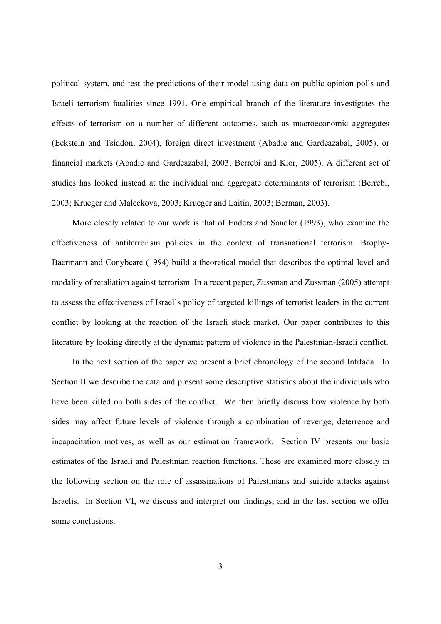political system, and test the predictions of their model using data on public opinion polls and Israeli terrorism fatalities since 1991. One empirical branch of the literature investigates the effects of terrorism on a number of different outcomes, such as macroeconomic aggregates (Eckstein and Tsiddon, 2004), foreign direct investment (Abadie and Gardeazabal, 2005), or financial markets (Abadie and Gardeazabal, 2003; Berrebi and Klor, 2005). A different set of studies has looked instead at the individual and aggregate determinants of terrorism (Berrebi, 2003; Krueger and Maleckova, 2003; Krueger and Laitin, 2003; Berman, 2003).

More closely related to our work is that of Enders and Sandler (1993), who examine the effectiveness of antiterrorism policies in the context of transnational terrorism. Brophy-Baermann and Conybeare (1994) build a theoretical model that describes the optimal level and modality of retaliation against terrorism. In a recent paper, Zussman and Zussman (2005) attempt to assess the effectiveness of Israel's policy of targeted killings of terrorist leaders in the current conflict by looking at the reaction of the Israeli stock market. Our paper contributes to this literature by looking directly at the dynamic pattern of violence in the Palestinian-Israeli conflict.

In the next section of the paper we present a brief chronology of the second Intifada. In Section II we describe the data and present some descriptive statistics about the individuals who have been killed on both sides of the conflict. We then briefly discuss how violence by both sides may affect future levels of violence through a combination of revenge, deterrence and incapacitation motives, as well as our estimation framework. Section IV presents our basic estimates of the Israeli and Palestinian reaction functions. These are examined more closely in the following section on the role of assassinations of Palestinians and suicide attacks against Israelis. In Section VI, we discuss and interpret our findings, and in the last section we offer some conclusions.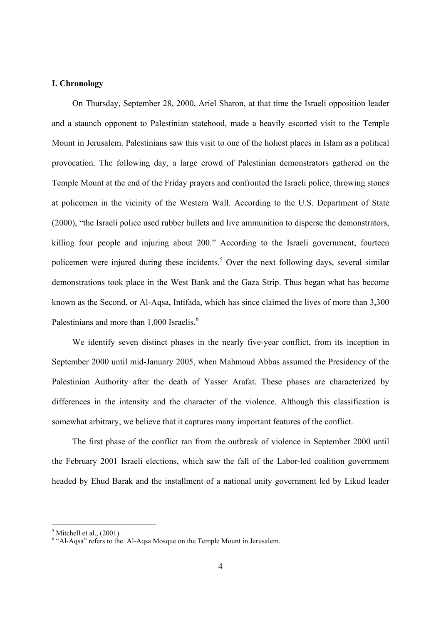#### **I. Chronology**

On Thursday, September 28, 2000, Ariel Sharon, at that time the Israeli opposition leader and a staunch opponent to Palestinian statehood, made a heavily escorted visit to the Temple Mount in Jerusalem. Palestinians saw this visit to one of the holiest places in Islam as a political provocation. The following day, a large crowd of Palestinian demonstrators gathered on the Temple Mount at the end of the Friday prayers and confronted the Israeli police, throwing stones at policemen in the vicinity of the Western Wall. According to the U.S. Department of State (2000), "the Israeli police used rubber bullets and live ammunition to disperse the demonstrators, killing four people and injuring about 200." According to the Israeli government, fourteen policemen were injured during these incidents.<sup>5</sup> Over the next following days, several similar demonstrations took place in the West Bank and the Gaza Strip. Thus began what has become known as the Second, or Al-Aqsa, Intifada, which has since claimed the lives of more than 3,300 Palestinians and more than 1,000 Israelis.<sup>6</sup>

We identify seven distinct phases in the nearly five-year conflict, from its inception in September 2000 until mid-January 2005, when Mahmoud Abbas assumed the Presidency of the Palestinian Authority after the death of Yasser Arafat. These phases are characterized by differences in the intensity and the character of the violence. Although this classification is somewhat arbitrary, we believe that it captures many important features of the conflict.

The first phase of the conflict ran from the outbreak of violence in September 2000 until the February 2001 Israeli elections, which saw the fall of the Labor-led coalition government headed by Ehud Barak and the installment of a national unity government led by Likud leader

 $<sup>5</sup>$  Mitchell et al., (2001).</sup>

<sup>&</sup>lt;sup>6</sup> "Al-Aasa" refers to the Al-Aasa Mosque on the Temple Mount in Jerusalem.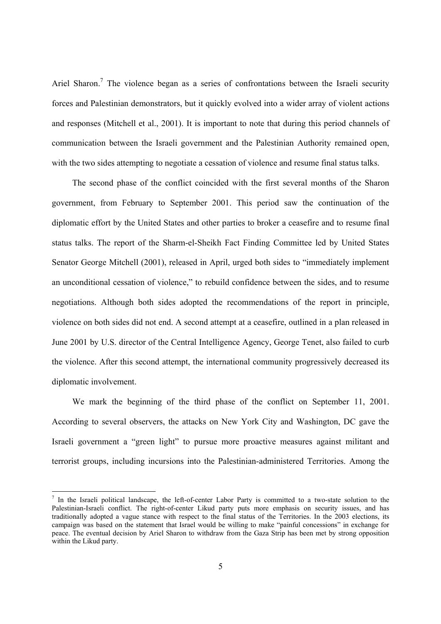Ariel Sharon.<sup>7</sup> The violence began as a series of confrontations between the Israeli security forces and Palestinian demonstrators, but it quickly evolved into a wider array of violent actions and responses (Mitchell et al., 2001). It is important to note that during this period channels of communication between the Israeli government and the Palestinian Authority remained open, with the two sides attempting to negotiate a cessation of violence and resume final status talks.

The second phase of the conflict coincided with the first several months of the Sharon government, from February to September 2001. This period saw the continuation of the diplomatic effort by the United States and other parties to broker a ceasefire and to resume final status talks. The report of the Sharm-el-Sheikh Fact Finding Committee led by United States Senator George Mitchell (2001), released in April, urged both sides to "immediately implement" an unconditional cessation of violence," to rebuild confidence between the sides, and to resume negotiations. Although both sides adopted the recommendations of the report in principle, violence on both sides did not end. A second attempt at a ceasefire, outlined in a plan released in June 2001 by U.S. director of the Central Intelligence Agency, George Tenet, also failed to curb the violence. After this second attempt, the international community progressively decreased its diplomatic involvement.

We mark the beginning of the third phase of the conflict on September 11, 2001. According to several observers, the attacks on New York City and Washington, DC gave the Israeli government a "green light" to pursue more proactive measures against militant and terrorist groups, including incursions into the Palestinian-administered Territories. Among the

 $\frac{7}{1}$  In the Israeli political landscape, the left-of-center Labor Party is committed to a two-state solution to the Palestinian-Israeli conflict. The right-of-center Likud party puts more emphasis on security issues, and has traditionally adopted a vague stance with respect to the final status of the Territories. In the 2003 elections, its campaign was based on the statement that Israel would be willing to make "painful concessions" in exchange for peace. The eventual decision by Ariel Sharon to withdraw from the Gaza Strip has been met by strong opposition within the Likud party.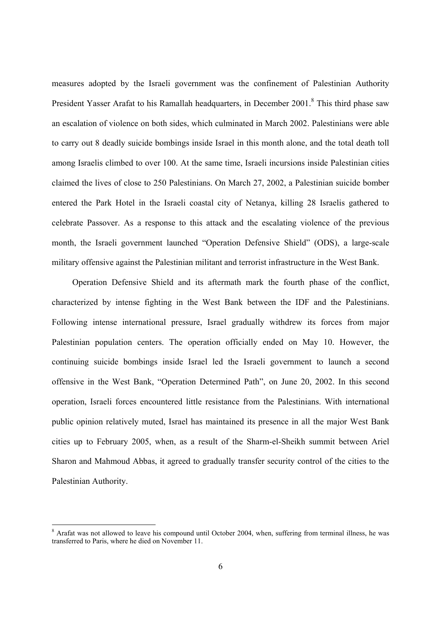measures adopted by the Israeli government was the confinement of Palestinian Authority President Yasser Arafat to his Ramallah headquarters, in December 2001.<sup>8</sup> This third phase saw an escalation of violence on both sides, which culminated in March 2002. Palestinians were able to carry out 8 deadly suicide bombings inside Israel in this month alone, and the total death toll among Israelis climbed to over 100. At the same time, Israeli incursions inside Palestinian cities claimed the lives of close to 250 Palestinians. On March 27, 2002, a Palestinian suicide bomber entered the Park Hotel in the Israeli coastal city of Netanya, killing 28 Israelis gathered to celebrate Passover. As a response to this attack and the escalating violence of the previous month, the Israeli government launched "Operation Defensive Shield" (ODS), a large-scale military offensive against the Palestinian militant and terrorist infrastructure in the West Bank.

Operation Defensive Shield and its aftermath mark the fourth phase of the conflict, characterized by intense fighting in the West Bank between the IDF and the Palestinians. Following intense international pressure, Israel gradually withdrew its forces from major Palestinian population centers. The operation officially ended on May 10. However, the continuing suicide bombings inside Israel led the Israeli government to launch a second offensive in the West Bank, "Operation Determined Path", on June 20, 2002. In this second operation, Israeli forces encountered little resistance from the Palestinians. With international public opinion relatively muted. Israel has maintained its presence in all the major West Bank cities up to February 2005, when, as a result of the Sharm-el-Sheikh summit between Ariel Sharon and Mahmoud Abbas, it agreed to gradually transfer security control of the cities to the Palestinian Authority.

<sup>&</sup>lt;sup>8</sup> Arafat was not allowed to leave his compound until October 2004, when, suffering from terminal illness, he was transferred to Paris where he died on November 11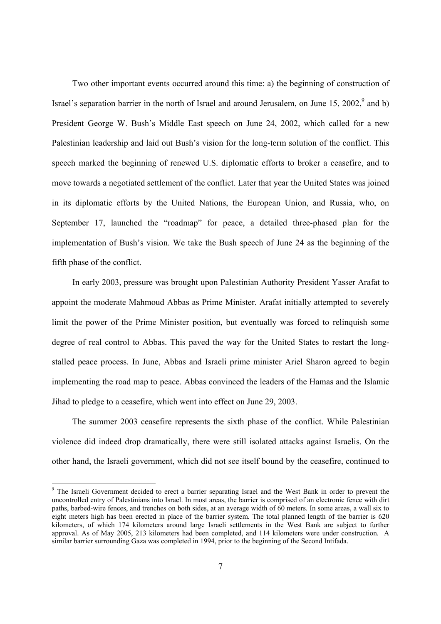Two other important events occurred around this time: a) the beginning of construction of Israel's separation barrier in the north of Israel and around Jerusalem, on June 15, 2002,<sup>9</sup> and b) President George W. Bush's Middle East speech on June 24, 2002, which called for a new Palestinian leadership and laid out Bush's vision for the long-term solution of the conflict. This speech marked the beginning of renewed U.S. diplomatic efforts to broker a ceasefire, and to move towards a negotiated settlement of the conflict. Later that year the United States was joined in its diplomatic efforts by the United Nations, the European Union, and Russia, who, on September 17, launched the "roadmap" for peace, a detailed three-phased plan for the implementation of Bush's vision. We take the Bush speech of June 24 as the beginning of the fifth phase of the conflict.

In early 2003, pressure was brought upon Palestinian Authority President Yasser Arafat to appoint the moderate Mahmoud Abbas as Prime Minister. Arafat initially attempted to severely limit the power of the Prime Minister position, but eventually was forced to relinquish some degree of real control to Abbas. This paved the way for the United States to restart the longstalled peace process. In June, Abbas and Israeli prime minister Ariel Sharon agreed to begin implementing the road map to peace. Abbas convinced the leaders of the Hamas and the Islamic Jihad to pledge to a ceasefire, which went into effect on June 29, 2003.

The summer 2003 ceasefire represents the sixth phase of the conflict. While Palestinian violence did indeed drop dramatically, there were still isolated attacks against Israelis. On the other hand, the Israeli government, which did not see itself bound by the ceasefire, continued to

<sup>&</sup>lt;sup>9</sup> The Israeli Government decided to erect a barrier separating Israel and the West Bank in order to prevent the uncontrolled entry of Palestinians into Israel. In most areas, the barrier is comprised of an electronic fence with dirt paths, barbed-wire fences, and trenches on both sides, at an average width of 60 meters. In some areas, a wall six to eight meters high has been erected in place of the barrier system. The total planned length of the barrier is 620 kilometers, of which 174 kilometers around large Israeli settlements in the West Bank are subject to further approval. As of May 2005, 213 kilometers had been completed, and 114 kilometers were under construction. A similar barrier surrounding Gaza was completed in 1994, prior to the beginning of the Second Intifada.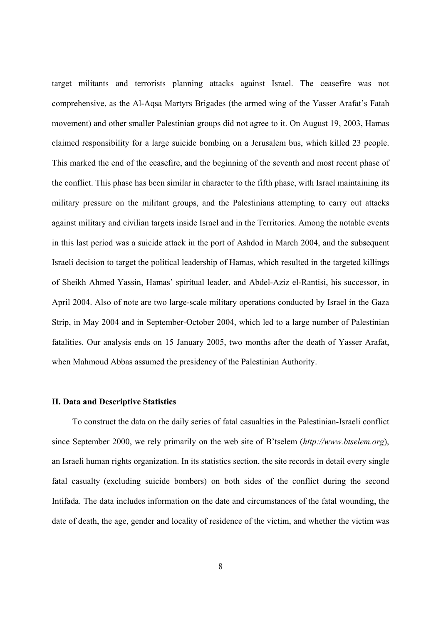target militants and terrorists planning attacks against Israel. The ceasefire was not comprehensive, as the Al-Agsa Martyrs Brigades (the armed wing of the Yasser Arafat's Fatah movement) and other smaller Palestinian groups did not agree to it. On August 19, 2003, Hamas claimed responsibility for a large suicide bombing on a Jerusalem bus, which killed 23 people. This marked the end of the ceasefire, and the beginning of the seventh and most recent phase of the conflict. This phase has been similar in character to the fifth phase, with Israel maintaining its military pressure on the militant groups, and the Palestinians attempting to carry out attacks against military and civilian targets inside Israel and in the Territories. Among the notable events in this last period was a suicide attack in the port of Ashdod in March 2004, and the subsequent Israeli decision to target the political leadership of Hamas, which resulted in the targeted killings of Sheikh Ahmed Yassin, Hamas' spiritual leader, and Abdel-Aziz el-Rantisi, his successor, in April 2004. Also of note are two large-scale military operations conducted by Israel in the Gaza Strip, in May 2004 and in September-October 2004, which led to a large number of Palestinian fatalities. Our analysis ends on 15 January 2005, two months after the death of Yasser Arafat, when Mahmoud Abbas assumed the presidency of the Palestinian Authority.

#### **II. Data and Descriptive Statistics**

To construct the data on the daily series of fatal casualties in the Palestinian-Israeli conflict since September 2000, we rely primarily on the web site of B'tselem (http://www.btselem.org), an Israeli human rights organization. In its statistics section, the site records in detail every single fatal casualty (excluding suicide bombers) on both sides of the conflict during the second Intifada. The data includes information on the date and circumstances of the fatal wounding, the date of death, the age, gender and locality of residence of the victim, and whether the victim was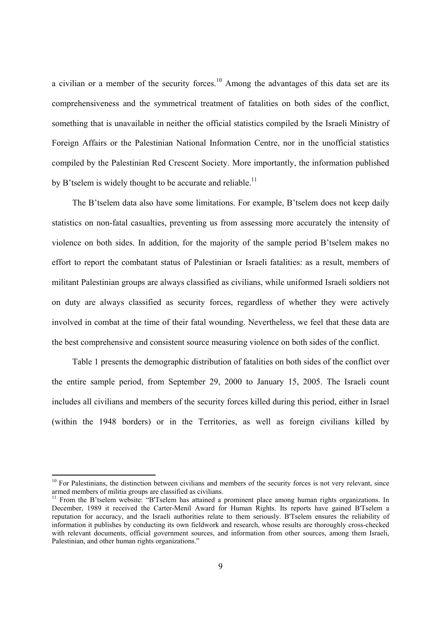a civilian or a member of the security forces.<sup>10</sup> Among the advantages of this data set are its comprehensiveness and the symmetrical treatment of fatalities on both sides of the conflict, something that is unavailable in neither the official statistics compiled by the Israeli Ministry of Foreign Affairs or the Palestinian National Information Centre, nor in the unofficial statistics compiled by the Palestinian Red Crescent Society. More importantly, the information published by B'tselem is widely thought to be accurate and reliable.<sup>11</sup>

The B'tselem data also have some limitations. For example, B'tselem does not keep daily statistics on non-fatal casualties, preventing us from assessing more accurately the intensity of violence on both sides. In addition, for the majority of the sample period B'tselem makes no effort to report the combatant status of Palestinian or Israeli fatalities: as a result, members of militant Palestinian groups are always classified as civilians, while uniformed Israeli soldiers not on duty are always classified as security forces, regardless of whether they were actively involved in combat at the time of their fatal wounding. Nevertheless, we feel that these data are the best comprehensive and consistent source measuring violence on both sides of the conflict.

Table 1 presents the demographic distribution of fatalities on both sides of the conflict over the entire sample period, from September 29, 2000 to January 15, 2005. The Israeli count includes all civilians and members of the security forces killed during this period, either in Israel (within the 1948 borders) or in the Territories, as well as foreign civilians killed by

<sup>&</sup>lt;sup>10</sup> For Palestinians, the distinction between civilians and members of the security forces is not very relevant, since armed members of militia groups are classified as civilians.

<sup>&</sup>lt;sup>11</sup> From the B'tselem website: "B'Tselem has attained a prominent place among human rights organizations. In December, 1989 it received the Carter-Menil Award for Human Rights. Its reports have gained B'Tselem a reputation for accuracy, and the Israeli authorities relate to them seriously. B'Tselem ensures the reliability of information it publishes by conducting its own fieldwork and research, whose results are thoroughly cross-checked with relevant documents, official government sources, and information from other sources, among them Israeli, Palestinian, and other human rights organizations."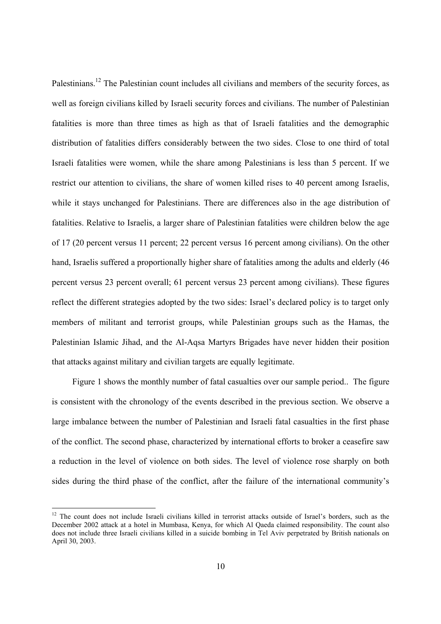Palestinians.<sup>12</sup> The Palestinian count includes all civilians and members of the security forces, as well as foreign civilians killed by Israeli security forces and civilians. The number of Palestinian fatalities is more than three times as high as that of Israeli fatalities and the demographic distribution of fatalities differs considerably between the two sides. Close to one third of total Israeli fatalities were women, while the share among Palestinians is less than 5 percent. If we restrict our attention to civilians, the share of women killed rises to 40 percent among Israelis, while it stays unchanged for Palestinians. There are differences also in the age distribution of fatalities. Relative to Israelis, a larger share of Palestinian fatalities were children below the age of 17 (20 percent versus 11 percent; 22 percent versus 16 percent among civilians). On the other hand, Israelis suffered a proportionally higher share of fatalities among the adults and elderly (46 percent versus 23 percent overall; 61 percent versus 23 percent among civilians). These figures reflect the different strategies adopted by the two sides: Israel's declared policy is to target only members of militant and terrorist groups, while Palestinian groups such as the Hamas, the Palestinian Islamic Jihad, and the Al-Aqsa Martyrs Brigades have never hidden their position that attacks against military and civilian targets are equally legitimate.

Figure 1 shows the monthly number of fatal casualties over our sample period.. The figure is consistent with the chronology of the events described in the previous section. We observe a large imbalance between the number of Palestinian and Israeli fatal casualties in the first phase of the conflict. The second phase, characterized by international efforts to broker a ceasefire saw a reduction in the level of violence on both sides. The level of violence rose sharply on both sides during the third phase of the conflict, after the failure of the international community's

<sup>&</sup>lt;sup>12</sup> The count does not include Israeli civilians killed in terrorist attacks outside of Israel's borders, such as the December 2002 attack at a hotel in Mumbasa, Kenya, for which Al Qaeda claimed responsibility. The count also does not include three Israeli civilians killed in a suicide bombing in Tel Aviv perpetrated by British nationals on April 30, 2003.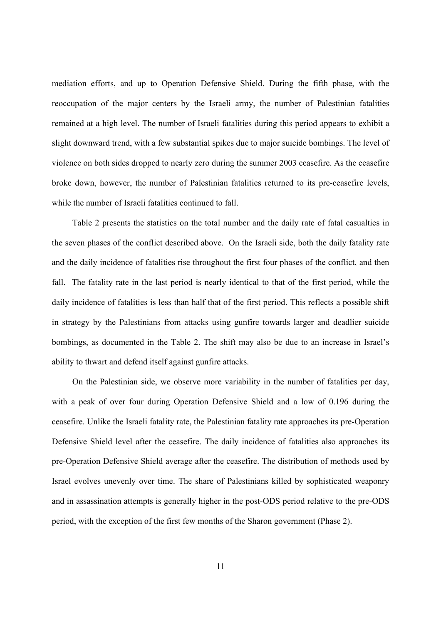mediation efforts, and up to Operation Defensive Shield. During the fifth phase, with the reoccupation of the major centers by the Israeli army, the number of Palestinian fatalities remained at a high level. The number of Israeli fatalities during this period appears to exhibit a slight downward trend, with a few substantial spikes due to major suicide bombings. The level of violence on both sides dropped to nearly zero during the summer 2003 ceasefire. As the ceasefire broke down, however, the number of Palestinian fatalities returned to its pre-ceasefire levels, while the number of Israeli fatalities continued to fall.

Table 2 presents the statistics on the total number and the daily rate of fatal casualties in the seven phases of the conflict described above. On the Israeli side, both the daily fatality rate and the daily incidence of fatalities rise throughout the first four phases of the conflict, and then fall. The fatality rate in the last period is nearly identical to that of the first period, while the daily incidence of fatalities is less than half that of the first period. This reflects a possible shift in strategy by the Palestinians from attacks using gunfire towards larger and deadlier suicide bombings, as documented in the Table 2. The shift may also be due to an increase in Israel's ability to thwart and defend itself against gunfire attacks.

On the Palestinian side, we observe more variability in the number of fatalities per day, with a peak of over four during Operation Defensive Shield and a low of 0.196 during the cease fire. Unlike the Israeli fatality rate, the Palestinian fatality rate approaches its pre-Operation Defensive Shield level after the ceasefire. The daily incidence of fatalities also approaches its pre-Operation Defensive Shield average after the ceasefire. The distribution of methods used by Israel evolves unevenly over time. The share of Palestinians killed by sophisticated weaponry and in assassination attempts is generally higher in the post-ODS period relative to the pre-ODS period, with the exception of the first few months of the Sharon government (Phase 2).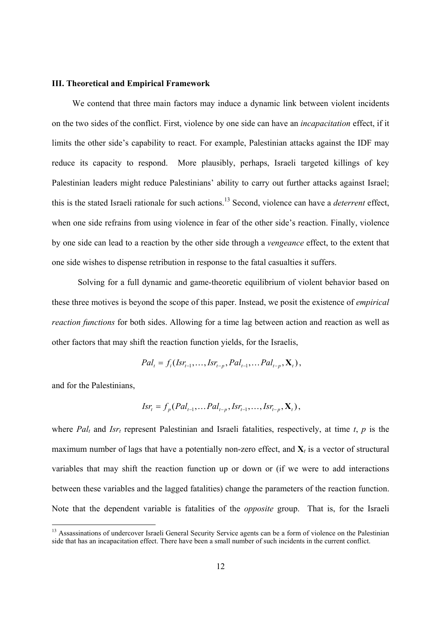#### **III. Theoretical and Empirical Framework**

We contend that three main factors may induce a dynamic link between violent incidents on the two sides of the conflict. First, violence by one side can have an *incapacitation* effect, if it limits the other side's capability to react. For example, Palestinian attacks against the IDF may reduce its capacity to respond. More plausibly, perhaps, Israeli targeted killings of key Palestinian leaders might reduce Palestinians' ability to carry out further attacks against Israel; this is the stated Israeli rationale for such actions.<sup>13</sup> Second, violence can have a *deterrent* effect, when one side refrains from using violence in fear of the other side's reaction. Finally, violence by one side can lead to a reaction by the other side through a *vengeance* effect, to the extent that one side wishes to dispense retribution in response to the fatal casualties it suffers.

Solving for a full dynamic and game-theoretic equilibrium of violent behavior based on these three motives is beyond the scope of this paper. Instead, we posit the existence of *empirical reaction functions* for both sides. Allowing for a time lag between action and reaction as well as other factors that may shift the reaction function yields, for the Israelis,

$$
Pal_t = f_t(Isr_{t-1},...,Isr_{t-p},Pal_{t-1},...Pal_{t-p}, X_t),
$$

and for the Palestinians.

$$
Isr_{t} = f_{p}(Pal_{t-1}, ... Pal_{t-p}, Isr_{t-1}, ..., Isr_{t-p}, \mathbf{X}_{t}),
$$

where  $Pal<sub>t</sub>$  and Isr<sub>t</sub> represent Palestinian and Israeli fatalities, respectively, at time t, p is the maximum number of lags that have a potentially non-zero effect, and  $X_t$  is a vector of structural variables that may shift the reaction function up or down or (if we were to add interactions between these variables and the lagged fatalities) change the parameters of the reaction function. Note that the dependent variable is fatalities of the *opposite* group. That is, for the Israeli

<sup>&</sup>lt;sup>13</sup> Assassinations of undercover Israeli General Security Service agents can be a form of violence on the Palestinian side that has an incapacitation effect. There have been a small number of such incidents in the current conflict.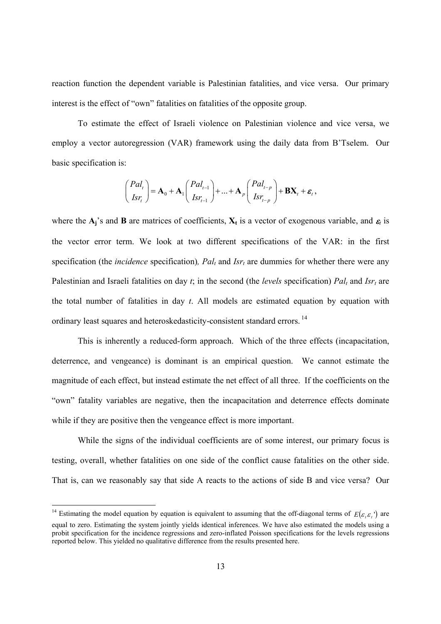reaction function the dependent variable is Palestinian fatalities, and vice versa. Our primary interest is the effect of "own" fatalities on fatalities of the opposite group.

To estimate the effect of Israeli violence on Palestinian violence and vice versa, we employ a vector autoregression (VAR) framework using the daily data from B'Tselem. Our basic specification is:

$$
\begin{pmatrix} Pal_t \\ Isr_t \end{pmatrix} = \mathbf{A}_0 + \mathbf{A}_1 \begin{pmatrix} Pal_{t-1} \\ Isr_{t-1} \end{pmatrix} + \ldots + \mathbf{A}_p \begin{pmatrix} Pal_{t-p} \\ Isr_{t-p} \end{pmatrix} + \mathbf{B} \mathbf{X}_t + \boldsymbol{\varepsilon}_t,
$$

where the A<sub>i</sub>'s and **B** are matrices of coefficients,  $X_t$  is a vector of exogenous variable, and  $\varepsilon_t$  is the vector error term. We look at two different specifications of the VAR: in the first specification (the *incidence* specification),  $Pal_t$  and  $Isr_t$  are dummies for whether there were any Palestinian and Israeli fatalities on day t; in the second (the levels specification)  $Pal<sub>t</sub>$  and Isr<sub>t</sub> are the total number of fatalities in day  $t$ . All models are estimated equation by equation with ordinary least squares and heteroskedasticity-consistent standard errors.<sup>14</sup>

This is inherently a reduced-form approach. Which of the three effects (incapacitation, deterrence, and vengeance) is dominant is an empirical question. We cannot estimate the magnitude of each effect, but instead estimate the net effect of all three. If the coefficients on the "own" fatality variables are negative, then the incapacitation and deterrence effects dominate while if they are positive then the vengeance effect is more important.

While the signs of the individual coefficients are of some interest, our primary focus is testing, overall, whether fatalities on one side of the conflict cause fatalities on the other side. That is, can we reasonably say that side A reacts to the actions of side B and vice versa? Our

<sup>&</sup>lt;sup>14</sup> Estimating the model equation by equation is equivalent to assuming that the off-diagonal terms of  $E(\varepsilon, \varepsilon)$  are equal to zero. Estimating the system jointly yields identical inferences. We have also estimated the models using a probit specification for the incidence regressions and zero-inflated Poisson specifications for the levels regressions reported below. This vielded no qualitative difference from the results presented here.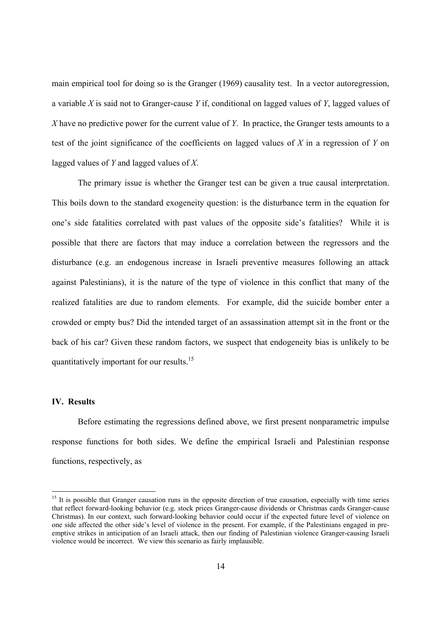main empirical tool for doing so is the Granger (1969) causality test. In a vector autoregression, a variable X is said not to Granger-cause Y if, conditional on lagged values of Y, lagged values of X have no predictive power for the current value of Y. In practice, the Granger tests amounts to a test of the joint significance of the coefficients on lagged values of  $X$  in a regression of  $Y$  on lagged values of Y and lagged values of X.

The primary issue is whether the Granger test can be given a true causal interpretation. This boils down to the standard exogeneity question: is the disturbance term in the equation for one's side fatalities correlated with past values of the opposite side's fatalities? While it is possible that there are factors that may induce a correlation between the regressors and the disturbance (e.g. an endogenous increase in Israeli preventive measures following an attack against Palestinians), it is the nature of the type of violence in this conflict that many of the realized fatalities are due to random elements. For example, did the suicide bomber enter a crowded or empty bus? Did the intended target of an assassination attempt sit in the front or the back of his car? Given these random factors, we suspect that endogeneity bias is unlikely to be quantitatively important for our results.<sup>15</sup>

#### **IV.** Results

Before estimating the regressions defined above, we first present nonparametric impulse response functions for both sides. We define the empirical Israeli and Palestinian response functions, respectively, as

<sup>&</sup>lt;sup>15</sup> It is possible that Granger causation runs in the opposite direction of true causation, especially with time series that reflect forward-looking behavior (e.g. stock prices Granger-cause dividends or Christmas cards Granger-cause Christmas). In our context, such forward-looking behavior could occur if the expected future level of violence on one side affected the other side's level of violence in the present. For example, if the Palestinians engaged in preemptive strikes in anticipation of an Israeli attack, then our finding of Palestinian violence Granger-causing Israeli violence would be incorrect. We view this scenario as fairly implausible.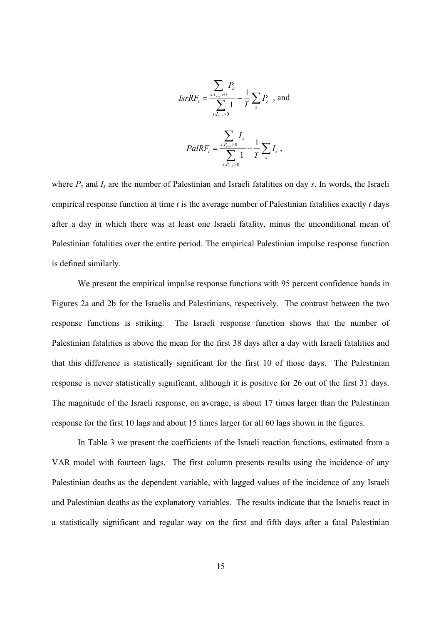$$
IsrRF_{t} = \frac{\sum_{s:I_{s-t}>0} P_{s}}{\sum_{s:I_{s-t}>0} 1} - \frac{1}{T} \sum_{s} P_{s}
$$
, and  

$$
PalkF_{t} = \frac{\sum_{s:P_{s-t}>0} I_{s}}{\sum_{s:P_{s-t}>0} 1} - \frac{1}{T} \sum_{s} I_{s}
$$
,

where  $P_s$  and  $I_s$  are the number of Palestinian and Israeli fatalities on day s. In words, the Israeli empirical response function at time  $t$  is the average number of Palestinian fatalities exactly  $t$  days after a day in which there was at least one Israeli fatality, minus the unconditional mean of Palestinian fatalities over the entire period. The empirical Palestinian impulse response function is defined similarly.

We present the empirical impulse response functions with 95 percent confidence bands in Figures 2a and 2b for the Israelis and Palestinians, respectively. The contrast between the two response functions is striking. The Israeli response function shows that the number of Palestinian fatalities is above the mean for the first 38 days after a day with Israeli fatalities and that this difference is statistically significant for the first 10 of those days. The Palestinian response is never statistically significant, although it is positive for 26 out of the first 31 days. The magnitude of the Israeli response, on average, is about 17 times larger than the Palestinian response for the first 10 lags and about 15 times larger for all 60 lags shown in the figures.

In Table 3 we present the coefficients of the Israeli reaction functions, estimated from a VAR model with fourteen lags. The first column presents results using the incidence of any Palestinian deaths as the dependent variable, with lagged values of the incidence of any Israeli and Palestinian deaths as the explanatory variables. The results indicate that the Israelis react in a statistically significant and regular way on the first and fifth days after a fatal Palestinian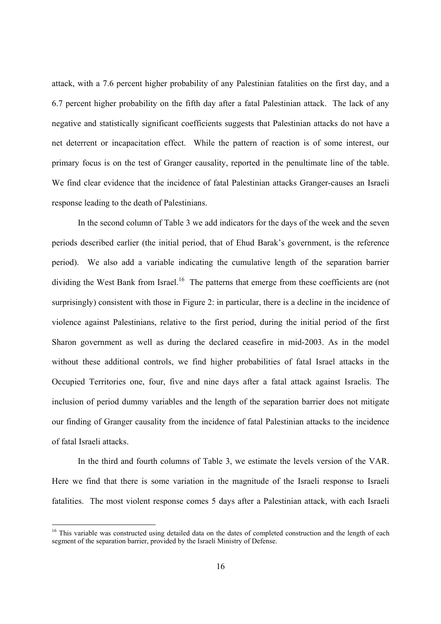attack, with a 7.6 percent higher probability of any Palestinian fatalities on the first day, and a 6.7 percent higher probability on the fifth day after a fatal Palestinian attack. The lack of any negative and statistically significant coefficients suggests that Palestinian attacks do not have a net deterrent or incapacitation effect. While the pattern of reaction is of some interest, our primary focus is on the test of Granger causality, reported in the penultimate line of the table. We find clear evidence that the incidence of fatal Palestinian attacks Granger-causes an Israeli response leading to the death of Palestinians.

In the second column of Table 3 we add indicators for the days of the week and the seven periods described earlier (the initial period, that of Ehud Barak's government, is the reference period). We also add a variable indicating the cumulative length of the separation barrier dividing the West Bank from Israel.<sup>16</sup> The patterns that emerge from these coefficients are (not surprisingly) consistent with those in Figure 2: in particular, there is a decline in the incidence of violence against Palestinians, relative to the first period, during the initial period of the first Sharon government as well as during the declared ceasefire in mid-2003. As in the model without these additional controls, we find higher probabilities of fatal Israel attacks in the Occupied Territories one, four, five and nine days after a fatal attack against Israelis. The inclusion of period dummy variables and the length of the separation barrier does not mitigate our finding of Granger causality from the incidence of fatal Palestinian attacks to the incidence of fatal Israeli attacks.

In the third and fourth columns of Table 3, we estimate the levels version of the VAR. Here we find that there is some variation in the magnitude of the Israeli response to Israeli fatalities. The most violent response comes 5 days after a Palestinian attack, with each Israeli

<sup>&</sup>lt;sup>16</sup> This variable was constructed using detailed data on the dates of completed construction and the length of each segment of the separation barrier, provided by the Israeli Ministry of Defense.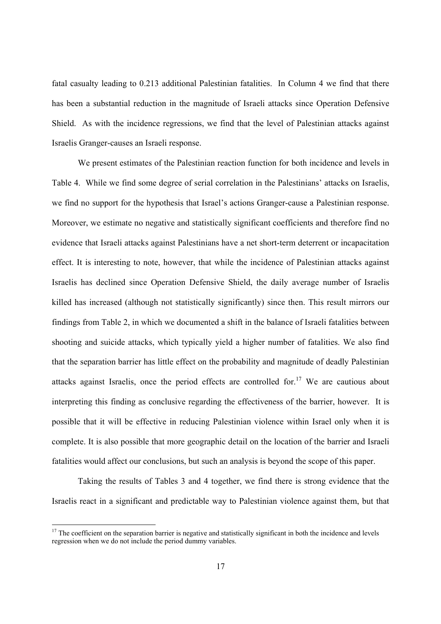fatal casualty leading to 0.213 additional Palestinian fatalities. In Column 4 we find that there has been a substantial reduction in the magnitude of Israeli attacks since Operation Defensive Shield. As with the incidence regressions, we find that the level of Palestinian attacks against Israelis Granger-causes an Israeli response.

We present estimates of the Palestinian reaction function for both incidence and levels in Table 4. While we find some degree of serial correlation in the Palestinians' attacks on Israelis, we find no support for the hypothesis that Israel's actions Granger-cause a Palestinian response. Moreover, we estimate no negative and statistically significant coefficients and therefore find no evidence that Israeli attacks against Palestinians have a net short-term deterrent or incapacitation effect. It is interesting to note, however, that while the incidence of Palestinian attacks against Israelis has declined since Operation Defensive Shield, the daily average number of Israelis killed has increased (although not statistically significantly) since then. This result mirrors our findings from Table 2, in which we documented a shift in the balance of Israeli fatalities between shooting and suicide attacks, which typically yield a higher number of fatalities. We also find that the separation barrier has little effect on the probability and magnitude of deadly Palestinian attacks against Israelis, once the period effects are controlled for.<sup>17</sup> We are cautious about interpreting this finding as conclusive regarding the effectiveness of the barrier, however. It is possible that it will be effective in reducing Palestinian violence within Israel only when it is complete. It is also possible that more geographic detail on the location of the barrier and Israeli fatalities would affect our conclusions, but such an analysis is beyond the scope of this paper.

Taking the results of Tables 3 and 4 together, we find there is strong evidence that the Israelis react in a significant and predictable way to Palestinian violence against them, but that

 $17$  The coefficient on the separation barrier is negative and statistically significant in both the incidence and levels regression when we do not include the period dummy variables.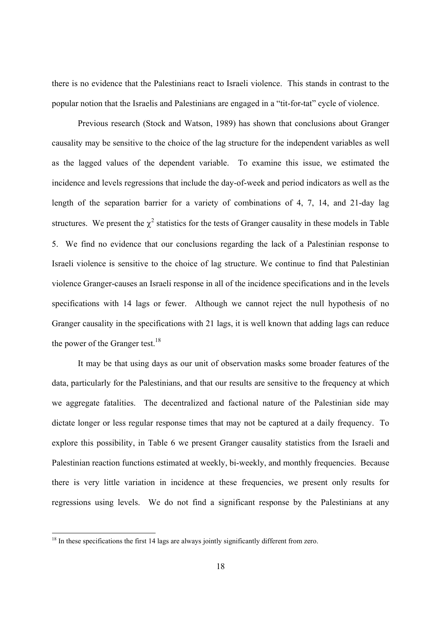there is no evidence that the Palestinians react to Israeli violence. This stands in contrast to the popular notion that the Israelis and Palestinians are engaged in a "tit-for-tat" cycle of violence.

Previous research (Stock and Watson, 1989) has shown that conclusions about Granger causality may be sensitive to the choice of the lag structure for the independent variables as well as the lagged values of the dependent variable. To examine this issue, we estimated the incidence and levels regressions that include the day-of-week and period indicators as well as the length of the separation barrier for a variety of combinations of 4, 7, 14, and 21-day lag structures. We present the  $\chi^2$  statistics for the tests of Granger causality in these models in Table 5. We find no evidence that our conclusions regarding the lack of a Palestinian response to Israeli violence is sensitive to the choice of lag structure. We continue to find that Palestinian violence Granger-causes an Israeli response in all of the incidence specifications and in the levels specifications with 14 lags or fewer. Although we cannot reject the null hypothesis of no Granger causality in the specifications with 21 lags, it is well known that adding lags can reduce the power of the Granger test.<sup>18</sup>

It may be that using days as our unit of observation masks some broader features of the data, particularly for the Palestinians, and that our results are sensitive to the frequency at which we aggregate fatalities. The decentralized and factional nature of the Palestinian side may dictate longer or less regular response times that may not be captured at a daily frequency. To explore this possibility, in Table 6 we present Granger causality statistics from the Israeli and Palestinian reaction functions estimated at weekly, bi-weekly, and monthly frequencies. Because there is very little variation in incidence at these frequencies, we present only results for regressions using levels. We do not find a significant response by the Palestinians at any

 $^{18}$  In these specifications the first 14 lags are always jointly significantly different from zero.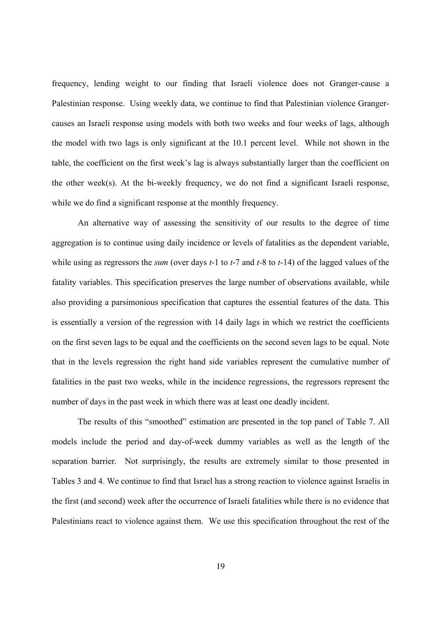frequency, lending weight to our finding that Israeli violence does not Granger-cause a Palestinian response. Using weekly data, we continue to find that Palestinian violence Grangercauses an Israeli response using models with both two weeks and four weeks of lags, although the model with two lags is only significant at the 10.1 percent level. While not shown in the table, the coefficient on the first week's lag is always substantially larger than the coefficient on the other week(s). At the bi-weekly frequency, we do not find a significant Israeli response, while we do find a significant response at the monthly frequency.

An alternative way of assessing the sensitivity of our results to the degree of time aggregation is to continue using daily incidence or levels of fatalities as the dependent variable, while using as regressors the *sum* (over days  $t-1$  to  $t-7$  and  $t-8$  to  $t-14$ ) of the lagged values of the fatality variables. This specification preserves the large number of observations available, while also providing a parsimonious specification that captures the essential features of the data. This is essentially a version of the regression with 14 daily lags in which we restrict the coefficients on the first seven lags to be equal and the coefficients on the second seven lags to be equal. Note that in the levels regression the right hand side variables represent the cumulative number of fatalities in the past two weeks, while in the incidence regressions, the regressors represent the number of days in the past week in which there was at least one deadly incident.

The results of this "smoothed" estimation are presented in the top panel of Table 7. All models include the period and day-of-week dummy variables as well as the length of the separation barrier. Not surprisingly, the results are extremely similar to those presented in Tables 3 and 4. We continue to find that Israel has a strong reaction to violence against Israelis in the first (and second) week after the occurrence of Israeli fatalities while there is no evidence that Palestinians react to violence against them. We use this specification throughout the rest of the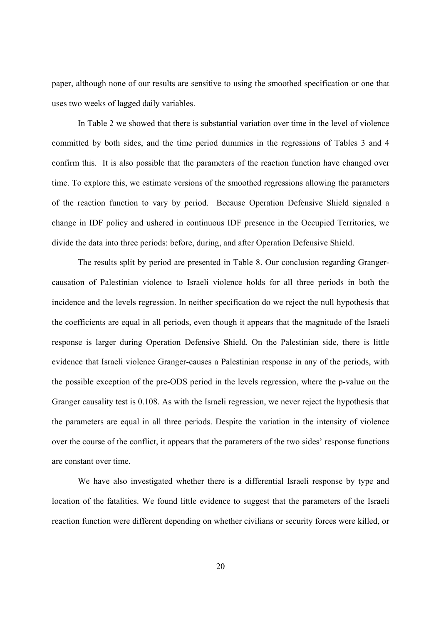paper, although none of our results are sensitive to using the smoothed specification or one that uses two weeks of lagged daily variables.

In Table 2 we showed that there is substantial variation over time in the level of violence committed by both sides, and the time period dummies in the regressions of Tables 3 and 4 confirm this. It is also possible that the parameters of the reaction function have changed over time. To explore this, we estimate versions of the smoothed regressions allowing the parameters of the reaction function to vary by period. Because Operation Defensive Shield signaled a change in IDF policy and ushered in continuous IDF presence in the Occupied Territories, we divide the data into three periods: before, during, and after Operation Defensive Shield.

The results split by period are presented in Table 8. Our conclusion regarding Grangercausation of Palestinian violence to Israeli violence holds for all three periods in both the incidence and the levels regression. In neither specification do we reject the null hypothesis that the coefficients are equal in all periods, even though it appears that the magnitude of the Israeli response is larger during Operation Defensive Shield. On the Palestinian side, there is little evidence that Israeli violence Granger-causes a Palestinian response in any of the periods, with the possible exception of the pre-ODS period in the levels regression, where the p-value on the Granger causality test is 0.108. As with the Israeli regression, we never reject the hypothesis that the parameters are equal in all three periods. Despite the variation in the intensity of violence over the course of the conflict, it appears that the parameters of the two sides' response functions are constant over time

We have also investigated whether there is a differential Israeli response by type and location of the fatalities. We found little evidence to suggest that the parameters of the Israeli reaction function were different depending on whether civilians or security forces were killed, or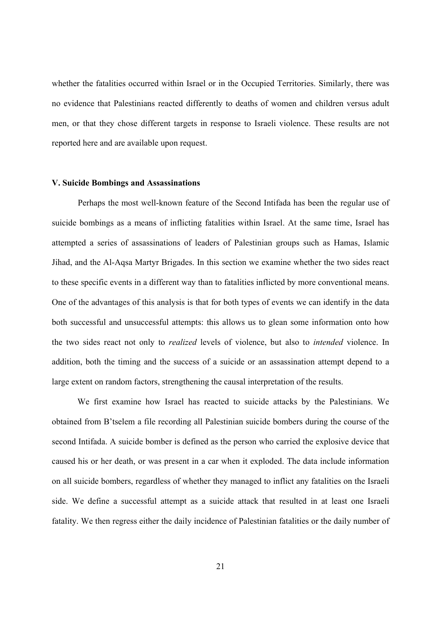whether the fatalities occurred within Israel or in the Occupied Territories. Similarly, there was no evidence that Palestinians reacted differently to deaths of women and children versus adult men, or that they chose different targets in response to Israeli violence. These results are not reported here and are available upon request.

#### **V. Suicide Bombings and Assassinations**

Perhaps the most well-known feature of the Second Intifada has been the regular use of suicide bombings as a means of inflicting fatalities within Israel. At the same time, Israel has attempted a series of assassinations of leaders of Palestinian groups such as Hamas, Islamic Jihad, and the Al-Aqsa Martyr Brigades. In this section we examine whether the two sides react to these specific events in a different way than to fatalities inflicted by more conventional means. One of the advantages of this analysis is that for both types of events we can identify in the data both successful and unsuccessful attempts: this allows us to glean some information onto how the two sides react not only to *realized* levels of violence, but also to *intended* violence. In addition, both the timing and the success of a suicide or an assassination attempt depend to a large extent on random factors, strengthening the causal interpretation of the results.

We first examine how Israel has reacted to suicide attacks by the Palestinians. We obtained from B'tselem a file recording all Palestinian suicide bombers during the course of the second Intifada. A suicide bomber is defined as the person who carried the explosive device that caused his or her death, or was present in a car when it exploded. The data include information on all suicide bombers, regardless of whether they managed to inflict any fatalities on the Israeli side. We define a successful attempt as a suicide attack that resulted in at least one Israeli fatality. We then regress either the daily incidence of Palestinian fatalities or the daily number of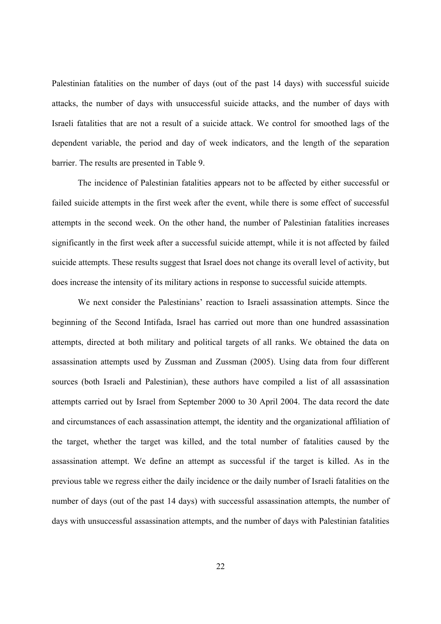Palestinian fatalities on the number of days (out of the past 14 days) with successful suicide attacks, the number of days with unsuccessful suicide attacks, and the number of days with Israeli fatalities that are not a result of a suicide attack. We control for smoothed lags of the dependent variable, the period and day of week indicators, and the length of the separation barrier. The results are presented in Table 9.

The incidence of Palestinian fatalities appears not to be affected by either successful or failed suicide attempts in the first week after the event, while there is some effect of successful attempts in the second week. On the other hand, the number of Palestinian fatalities increases significantly in the first week after a successful suicide attempt, while it is not affected by failed suicide attempts. These results suggest that Israel does not change its overall level of activity, but does increase the intensity of its military actions in response to successful suicide attempts.

We next consider the Palestinians' reaction to Israeli assassination attempts. Since the beginning of the Second Intifada. Israel has carried out more than one hundred assassination attempts, directed at both military and political targets of all ranks. We obtained the data on assassination attempts used by Zussman and Zussman (2005). Using data from four different sources (both Israeli and Palestinian), these authors have compiled a list of all assassination attempts carried out by Israel from September 2000 to 30 April 2004. The data record the date and circumstances of each assassination attempt, the identity and the organizational affiliation of the target, whether the target was killed, and the total number of fatalities caused by the assassination attempt. We define an attempt as successful if the target is killed. As in the previous table we regress either the daily incidence or the daily number of Israeli fatalities on the number of days (out of the past 14 days) with successful assassination attempts, the number of days with unsuccessful assassination attempts, and the number of days with Palestinian fatalities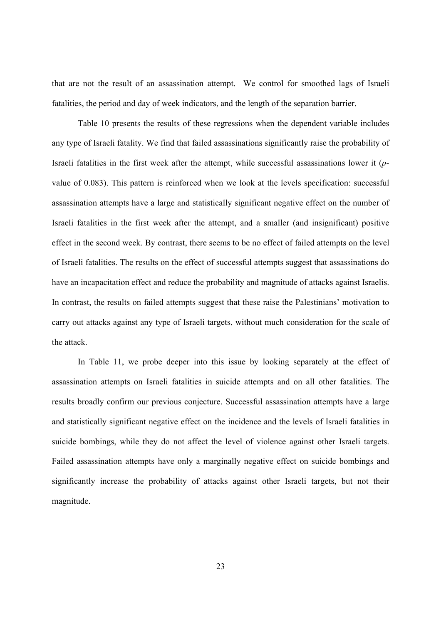that are not the result of an assassination attempt. We control for smoothed lags of Israeli fatalities, the period and day of week indicators, and the length of the separation barrier.

Table 10 presents the results of these regressions when the dependent variable includes any type of Israeli fatality. We find that failed assassinations significantly raise the probability of Israeli fatalities in the first week after the attempt, while successful assassinations lower it  $(p$ value of 0.083). This pattern is reinforced when we look at the levels specification: successful assassination attempts have a large and statistically significant negative effect on the number of Israeli fatalities in the first week after the attempt, and a smaller (and insignificant) positive effect in the second week. By contrast, there seems to be no effect of failed attempts on the level of Israeli fatalities. The results on the effect of successful attempts suggest that assassinations do have an incapacitation effect and reduce the probability and magnitude of attacks against Israelis. In contrast, the results on failed attempts suggest that these raise the Palestinians' motivation to carry out attacks against any type of Israeli targets, without much consideration for the scale of the attack.

In Table 11, we probe deeper into this issue by looking separately at the effect of assassination attempts on Israeli fatalities in suicide attempts and on all other fatalities. The results broadly confirm our previous conjecture. Successful assassination attempts have a large and statistically significant negative effect on the incidence and the levels of Israeli fatalities in suicide bombings, while they do not affect the level of violence against other Israeli targets. Failed assassination attempts have only a marginally negative effect on suicide bombings and significantly increase the probability of attacks against other Israeli targets, but not their magnitude.

23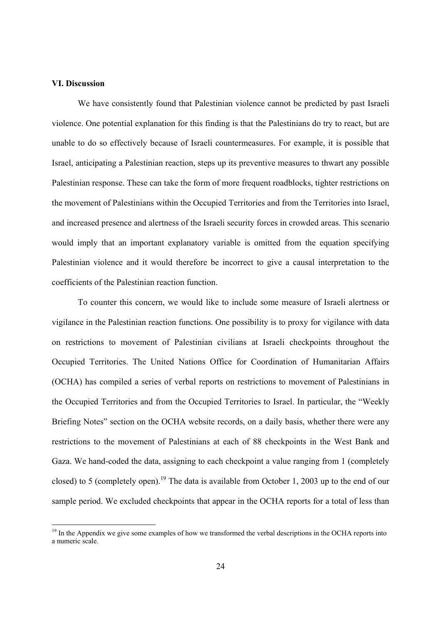#### **VI. Discussion**

We have consistently found that Palestinian violence cannot be predicted by past Israeli violence. One potential explanation for this finding is that the Palestinians do try to react, but are unable to do so effectively because of Israeli countermeasures. For example, it is possible that Israel, anticipating a Palestinian reaction, steps up its preventive measures to thwart any possible Palestinian response. These can take the form of more frequent roadblocks, tighter restrictions on the movement of Palestinians within the Occupied Territories and from the Territories into Israel, and increased presence and alertness of the Israeli security forces in crowded areas. This scenario would imply that an important explanatory variable is omitted from the equation specifying Palestinian violence and it would therefore be incorrect to give a causal interpretation to the coefficients of the Palestinian reaction function

To counter this concern, we would like to include some measure of Israeli alertness or vigilance in the Palestinian reaction functions. One possibility is to proxy for vigilance with data on restrictions to movement of Palestinian civilians at Israeli checkpoints throughout the Occupied Territories. The United Nations Office for Coordination of Humanitarian Affairs (OCHA) has compiled a series of verbal reports on restrictions to movement of Palestinians in the Occupied Territories and from the Occupied Territories to Israel. In particular, the "Weekly Briefing Notes" section on the OCHA website records, on a daily basis, whether there were any restrictions to the movement of Palestinians at each of 88 checkpoints in the West Bank and Gaza. We hand-coded the data, assigning to each checkpoint a value ranging from 1 (completely closed) to 5 (completely open).<sup>19</sup> The data is available from October 1, 2003 up to the end of our sample period. We excluded checkpoints that appear in the OCHA reports for a total of less than

<sup>&</sup>lt;sup>19</sup> In the Appendix we give some examples of how we transformed the verbal descriptions in the OCHA reports into a numeric scale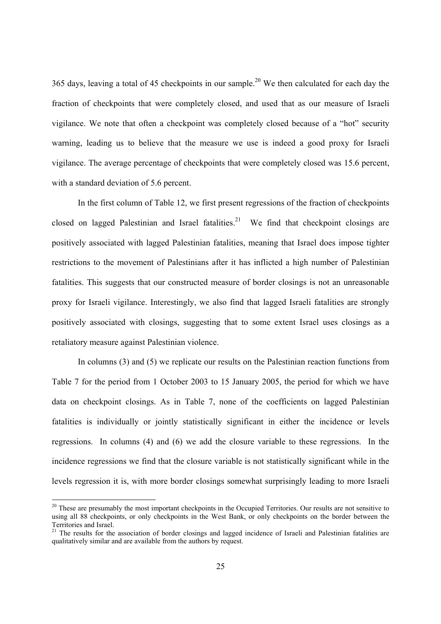365 days, leaving a total of 45 checkpoints in our sample.<sup>20</sup> We then calculated for each day the fraction of checkpoints that were completely closed, and used that as our measure of Israeli vigilance. We note that often a checkpoint was completely closed because of a "hot" security warning, leading us to believe that the measure we use is indeed a good proxy for Israeli vigilance. The average percentage of checkpoints that were completely closed was 15.6 percent, with a standard deviation of 5.6 percent.

In the first column of Table 12, we first present regressions of the fraction of checkpoints closed on lagged Palestinian and Israel fatalities.<sup>21</sup> We find that checkpoint closings are positively associated with lagged Palestinian fatalities, meaning that Israel does impose tighter restrictions to the movement of Palestinians after it has inflicted a high number of Palestinian fatalities. This suggests that our constructed measure of border closings is not an unreasonable proxy for Israeli vigilance. Interestingly, we also find that lagged Israeli fatalities are strongly positively associated with closings, suggesting that to some extent Israel uses closings as a retaliatory measure against Palestinian violence.

In columns  $(3)$  and  $(5)$  we replicate our results on the Palestinian reaction functions from Table 7 for the period from 1 October 2003 to 15 January 2005, the period for which we have data on checkpoint closings. As in Table 7, none of the coefficients on lagged Palestinian fatalities is individually or jointly statistically significant in either the incidence or levels regressions. In columns (4) and (6) we add the closure variable to these regressions. In the incidence regressions we find that the closure variable is not statistically significant while in the levels regression it is, with more border closings somewhat surprisingly leading to more Israeli

<sup>&</sup>lt;sup>20</sup> These are presumably the most important checkpoints in the Occupied Territories. Our results are not sensitive to using all 88 checkpoints, or only checkpoints in the West Bank, or only checkpoints on the border between the Territories and Israel.

<sup>&</sup>lt;sup>21</sup> The results for the association of border closings and lagged incidence of Israeli and Palestinian fatalities are qualitatively similar and are available from the authors by request.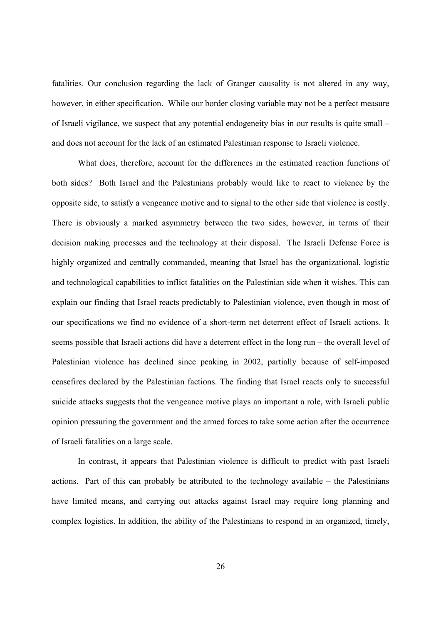fatalities. Our conclusion regarding the lack of Granger causality is not altered in any way, however, in either specification. While our border closing variable may not be a perfect measure of Israeli vigilance, we suspect that any potential endogeneity bias in our results is quite small – and does not account for the lack of an estimated Palestinian response to Israeli violence.

What does, therefore, account for the differences in the estimated reaction functions of both sides? Both Israel and the Palestinians probably would like to react to violence by the opposite side, to satisfy a vengeance motive and to signal to the other side that violence is costly. There is obviously a marked asymmetry between the two sides, however, in terms of their decision making processes and the technology at their disposal. The Israeli Defense Force is highly organized and centrally commanded, meaning that Israel has the organizational, logistic and technological capabilities to inflict fatalities on the Palestinian side when it wishes. This can explain our finding that Israel reacts predictably to Palestinian violence, even though in most of our specifications we find no evidence of a short-term net deterrent effect of Israeli actions. It seems possible that Israeli actions did have a deterrent effect in the long run – the overall level of Palestinian violence has declined since peaking in 2002, partially because of self-imposed ceasefires declared by the Palestinian factions. The finding that Israel reacts only to successful suicide attacks suggests that the vengeance motive plays an important a role, with Israeli public opinion pressuring the government and the armed forces to take some action after the occurrence of Israeli fatalities on a large scale.

In contrast, it appears that Palestinian violence is difficult to predict with past Israeli actions. Part of this can probably be attributed to the technology available – the Palestinians have limited means, and carrying out attacks against Israel may require long planning and complex logistics. In addition, the ability of the Palestinians to respond in an organized, timely,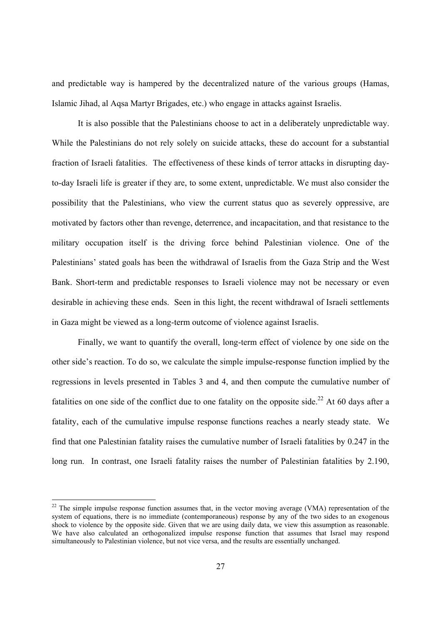and predictable way is hampered by the decentralized nature of the various groups (Hamas, Islamic Jihad, al Aqsa Martyr Brigades, etc.) who engage in attacks against Israelis.

It is also possible that the Palestinians choose to act in a deliberately unpredictable way. While the Palestinians do not rely solely on suicide attacks, these do account for a substantial fraction of Israeli fatalities. The effectiveness of these kinds of terror attacks in disrupting dayto-day Israeli life is greater if they are, to some extent, unpredictable. We must also consider the possibility that the Palestinians, who view the current status quo as severely oppressive, are motivated by factors other than revenge, deterrence, and incapacitation, and that resistance to the military occupation itself is the driving force behind Palestinian violence. One of the Palestinians' stated goals has been the withdrawal of Israelis from the Gaza Strip and the West Bank. Short-term and predictable responses to Israeli violence may not be necessary or even desirable in achieving these ends. Seen in this light, the recent withdrawal of Israeli settlements in Gaza might be viewed as a long-term outcome of violence against Israelis.

Finally, we want to quantify the overall, long-term effect of violence by one side on the other side's reaction. To do so, we calculate the simple impulse-response function implied by the regressions in levels presented in Tables 3 and 4, and then compute the cumulative number of fatalities on one side of the conflict due to one fatality on the opposite side.<sup>22</sup> At 60 days after a fatality, each of the cumulative impulse response functions reaches a nearly steady state. We find that one Palestinian fatality raises the cumulative number of Israeli fatalities by 0.247 in the long run. In contrast, one Israeli fatality raises the number of Palestinian fatalities by 2.190,

<sup>&</sup>lt;sup>22</sup> The simple impulse response function assumes that, in the vector moving average (VMA) representation of the system of equations, there is no immediate (contemporaneous) response by any of the two sides to an exogenous shock to violence by the opposite side. Given that we are using daily data, we view this assumption as reasonable. We have also calculated an orthogonalized impulse response function that assumes that Israel may respond simultaneously to Palestinian violence, but not vice versa, and the results are essentially unchanged.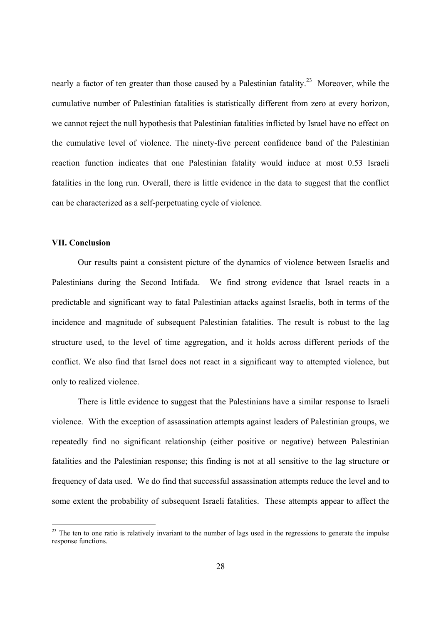nearly a factor of ten greater than those caused by a Palestinian fatality.<sup>23</sup> Moreover, while the cumulative number of Palestinian fatalities is statistically different from zero at every horizon, we cannot reject the null hypothesis that Palestinian fatalities inflicted by Israel have no effect on the cumulative level of violence. The ninety-five percent confidence band of the Palestinian reaction function indicates that one Palestinian fatality would induce at most 0.53 Israeli fatalities in the long run. Overall, there is little evidence in the data to suggest that the conflict can be characterized as a self-perpetuating cycle of violence.

#### **VII. Conclusion**

Our results paint a consistent picture of the dynamics of violence between Israelis and Palestinians during the Second Intifada. We find strong evidence that Israel reacts in a predictable and significant way to fatal Palestinian attacks against Israelis, both in terms of the incidence and magnitude of subsequent Palestinian fatalities. The result is robust to the lag structure used, to the level of time aggregation, and it holds across different periods of the conflict. We also find that Israel does not react in a significant way to attempted violence, but only to realized violence.

There is little evidence to suggest that the Palestinians have a similar response to Israeli violence. With the exception of assassination attempts against leaders of Palestinian groups, we repeatedly find no significant relationship (either positive or negative) between Palestinian fatalities and the Palestinian response; this finding is not at all sensitive to the lag structure or frequency of data used. We do find that successful assassination attempts reduce the level and to some extent the probability of subsequent Israeli fatalities. These attempts appear to affect the

<sup>&</sup>lt;sup>23</sup> The ten to one ratio is relatively invariant to the number of lags used in the regressions to generate the impulse response functions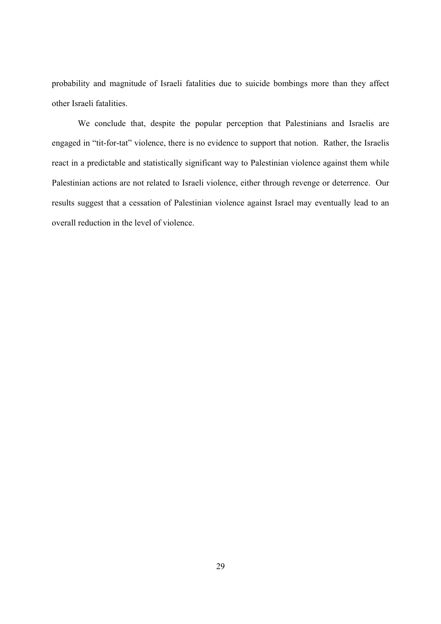probability and magnitude of Israeli fatalities due to suicide bombings more than they affect other Israeli fatalities.

We conclude that, despite the popular perception that Palestinians and Israelis are engaged in "tit-for-tat" violence, there is no evidence to support that notion. Rather, the Israelis react in a predictable and statistically significant way to Palestinian violence against them while Palestinian actions are not related to Israeli violence, either through revenge or deterrence. Our results suggest that a cessation of Palestinian violence against Israel may eventually lead to an overall reduction in the level of violence.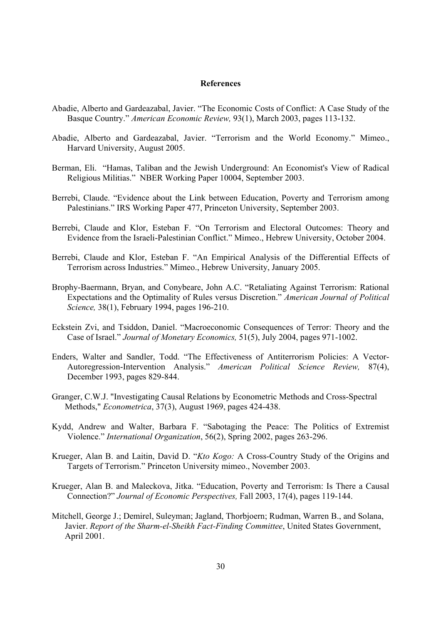#### **References**

- Abadie, Alberto and Gardeazabal, Javier. "The Economic Costs of Conflict: A Case Study of the Basque Country." American Economic Review, 93(1), March 2003, pages 113-132.
- Abadie, Alberto and Gardeazabal, Javier. "Terrorism and the World Economy." Mimeo., Harvard University, August 2005.
- Berman, Eli. "Hamas, Taliban and the Jewish Underground: An Economist's View of Radical Religious Militias." NBER Working Paper 10004, September 2003.
- Berrebi, Claude. "Evidence about the Link between Education, Poverty and Terrorism among Palestinians." IRS Working Paper 477, Princeton University, September 2003.
- Berrebi, Claude and Klor, Esteban F. "On Terrorism and Electoral Outcomes: Theory and Evidence from the Israeli-Palestinian Conflict." Mimeo., Hebrew University, October 2004.
- Berrebi, Claude and Klor, Esteban F. "An Empirical Analysis of the Differential Effects of Terrorism across Industries." Mimeo., Hebrew University, January 2005.
- Brophy-Baermann, Bryan, and Conybeare, John A.C. "Retaliating Against Terrorism: Rational Expectations and the Optimality of Rules versus Discretion." American Journal of Political Science, 38(1), February 1994, pages 196-210.
- Eckstein Zvi, and Tsiddon, Daniel. "Macroeconomic Consequences of Terror: Theory and the Case of Israel." Journal of Monetary Economics, 51(5), July 2004, pages 971-1002.
- Enders, Walter and Sandler, Todd. "The Effectiveness of Antiterrorism Policies: A Vector-Autoregression-Intervention Analysis." American Political Science Review, 87(4), December 1993, pages 829-844.
- Granger, C.W.J. "Investigating Causal Relations by Econometric Methods and Cross-Spectral Methods," *Econometrica*, 37(3), August 1969, pages 424-438.
- Kydd, Andrew and Walter, Barbara F. "Sabotaging the Peace: The Politics of Extremist Violence." International Organization, 56(2), Spring 2002, pages 263-296.
- Krueger, Alan B. and Laitin, David D. "Kto Kogo: A Cross-Country Study of the Origins and Targets of Terrorism." Princeton University mimeo., November 2003.
- Krueger, Alan B. and Maleckova, Jitka. "Education, Poverty and Terrorism: Is There a Causal Connection?" Journal of Economic Perspectives, Fall 2003, 17(4), pages 119-144.
- Mitchell, George J.; Demirel, Suleyman; Jagland, Thorbjoern; Rudman, Warren B., and Solana, Javier. Report of the Sharm-el-Sheikh Fact-Finding Committee, United States Government, April 2001.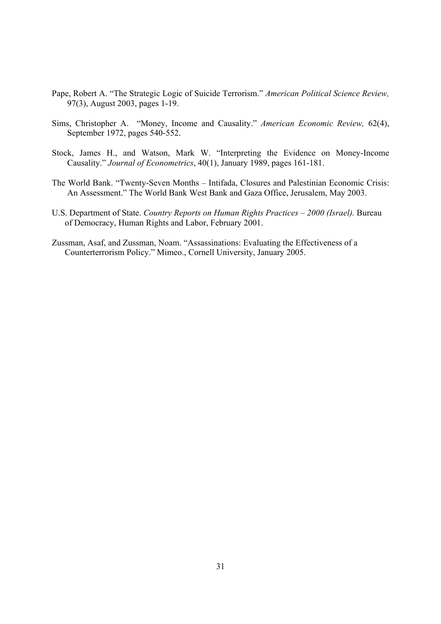- Pape, Robert A. "The Strategic Logic of Suicide Terrorism." American Political Science Review, 97(3), August 2003, pages 1-19.
- Sims, Christopher A. "Money, Income and Causality." American Economic Review, 62(4), September 1972, pages 540-552.
- Stock, James H., and Watson, Mark W. "Interpreting the Evidence on Money-Income Causality." Journal of Econometrics, 40(1), January 1989, pages 161-181.
- The World Bank. "Twenty-Seven Months Intifada, Closures and Palestinian Economic Crisis: An Assessment." The World Bank West Bank and Gaza Office, Jerusalem, May 2003.
- U.S. Department of State. Country Reports on Human Rights Practices 2000 (Israel). Bureau of Democracy, Human Rights and Labor, February 2001.
- Zussman, Asaf, and Zussman, Noam. "Assassinations: Evaluating the Effectiveness of a Counterterrorism Policy." Mimeo., Cornell University, January 2005.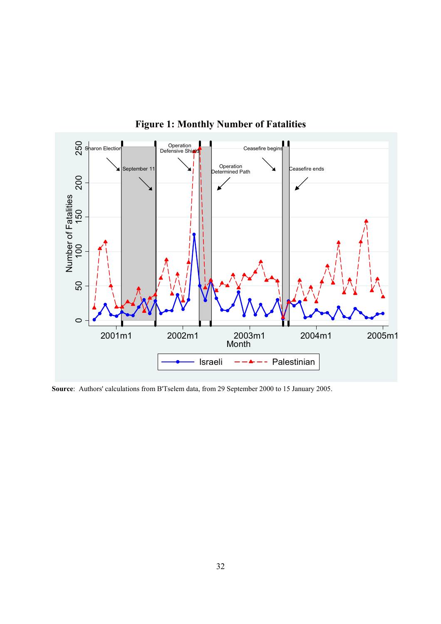

**Figure 1: Monthly Number of Fatalities** 

Source: Authors' calculations from B'Tselem data, from 29 September 2000 to 15 January 2005.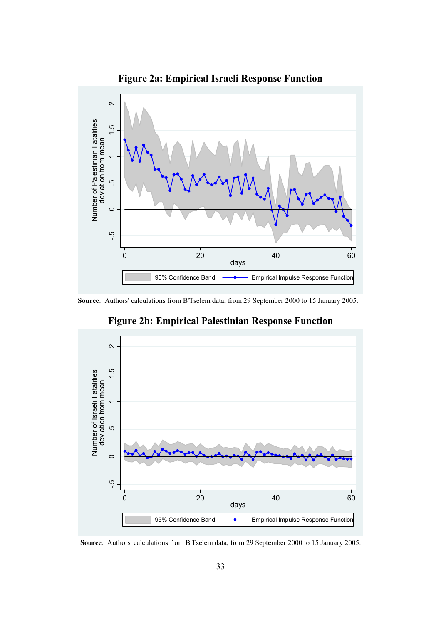

Figure 2a: Empirical Israeli Response Function





**Figure 2b: Empirical Palestinian Response Function** 

Source: Authors' calculations from B'Tselem data, from 29 September 2000 to 15 January 2005.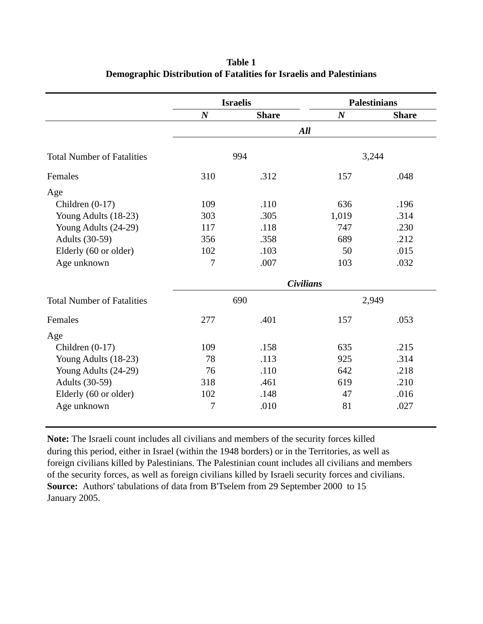|                                   |                  | <b>Israelis</b> |                  | <b>Palestinians</b> |
|-----------------------------------|------------------|-----------------|------------------|---------------------|
|                                   | $\boldsymbol{N}$ | <b>Share</b>    | $\boldsymbol{N}$ | <b>Share</b>        |
|                                   |                  |                 | All              |                     |
| <b>Total Number of Fatalities</b> |                  | 994             |                  | 3,244               |
| Females                           | 310              | .312            | 157              | .048                |
| Age                               |                  |                 |                  |                     |
| Children $(0-17)$                 | 109              | .110            | 636              | .196                |
| Young Adults (18-23)              | 303              | .305            | 1,019            | .314                |
| Young Adults (24-29)              | 117              | .118            | 747              | .230                |
| <b>Adults</b> (30-59)             | 356              | .358            | 689              | .212                |
| Elderly (60 or older)             | 102              | .103            | 50               | .015                |
| Age unknown                       | 7                | .007            | 103              | .032                |
|                                   |                  |                 | <b>Civilians</b> |                     |
| <b>Total Number of Fatalities</b> |                  | 690             |                  | 2,949               |
| Females                           | 277              | .401            | 157              | .053                |
| Age                               |                  |                 |                  |                     |
| Children $(0-17)$                 | 109              | .158            | 635              | .215                |
| Young Adults (18-23)              | 78               | .113            | 925              | .314                |
| Young Adults (24-29)              | 76               | .110            | 642              | .218                |
| <b>Adults</b> (30-59)             | 318              | .461            | 619              | .210                |
| Elderly (60 or older)             | 102              | .148            | 47               | .016                |
| Age unknown                       | 7                | .010            | 81               | .027                |

## **Table 1 Demographic Distribution of Fatalities for Israelis and Palestinians**

**Note:** The Israeli count includes all civilians and members of the security forces killed during this period, either in Israel (within the 1948 borders) or in the Territories, as well as foreign civilians killed by Palestinians. The Palestinian count includes all civilians and members of the security forces, as well as foreign civilians killed by Israeli security forces and civilians. **Source:** Authors' tabulations of data from B'Tselem from 29 September 2000 to 15 January 2005.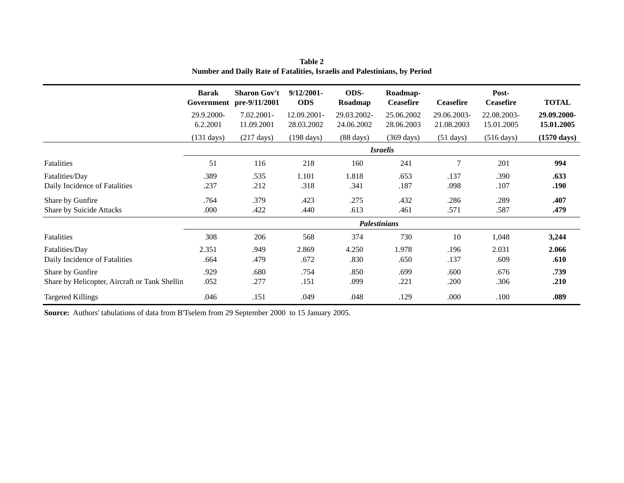|                                               | <b>Barak</b><br>Government | <b>Sharon Gov't</b><br>pre-9/11/2001 | $9/12/2001 -$<br><b>ODS</b> | ODS-<br>Roadmap     | Roadmap-<br><b>Ceasefire</b> | <b>Ceasefire</b>    | Post-<br><b>Ceasefire</b> | <b>TOTAL</b>          |
|-----------------------------------------------|----------------------------|--------------------------------------|-----------------------------|---------------------|------------------------------|---------------------|---------------------------|-----------------------|
|                                               | 29.9.2000-                 | $7.02.2001 -$                        | 12.09.2001-                 | 29.03.2002-         | 25.06.2002                   | 29.06.2003-         | 22.08.2003-               | 29.09.2000-           |
|                                               | 6.2.2001                   | 11.09.2001                           | 28.03.2002                  | 24.06.2002          | 28.06.2003                   | 21.08.2003          | 15.01.2005                | 15.01.2005            |
|                                               | $(131 \text{ days})$       | $(217 \text{ days})$                 | $(198 \text{ days})$        | $(88 \text{ days})$ | $(369 \text{ days})$         | $(51 \text{ days})$ | $(516 \text{ days})$      | $(1570 \text{ days})$ |
|                                               |                            |                                      |                             |                     | <b>Israelis</b>              |                     |                           |                       |
| Fatalities                                    | 51                         | 116                                  | 218                         | 160                 | 241                          | 7                   | 201                       | 994                   |
| Fatalities/Day                                | .389                       | .535                                 | 1.101                       | 1.818               | .653                         | .137                | .390                      | .633                  |
| Daily Incidence of Fatalities                 | .237                       | .212                                 | .318                        | .341                | .187                         | .098                | .107                      | .190                  |
| Share by Gunfire                              | .764                       | .379                                 | .423                        | .275                | .432                         | .286                | .289                      | .407                  |
| Share by Suicide Attacks                      | .000                       | .422                                 | .440                        | .613                | .461                         | .571                | .587                      | .479                  |
|                                               |                            |                                      |                             |                     | <b>Palestinians</b>          |                     |                           |                       |
| Fatalities                                    | 308                        | 206                                  | 568                         | 374                 | 730                          | 10                  | 1,048                     | 3,244                 |
| Fatalities/Day                                | 2.351                      | .949                                 | 2.869                       | 4.250               | 1.978                        | .196                | 2.031                     | 2.066                 |
| Daily Incidence of Fatalities                 | .664                       | .479                                 | .672                        | .830                | .650                         | .137                | .609                      | .610                  |
| Share by Gunfire                              | .929                       | .680                                 | .754                        | .850                | .699                         | .600                | .676                      | .739                  |
| Share by Helicopter, Aircraft or Tank Shellin | .052                       | .277                                 | .151                        | .099                | .221                         | .200                | .306                      | .210                  |
| <b>Targeted Killings</b>                      | .046                       | .151                                 | .049                        | .048                | .129                         | .000                | .100                      | .089                  |

**Table 2 Number and Daily Rate of Fatalities, Israelis and Palestinians, by Period**

**Source:** Authors' tabulations of data from B'Tselem from 29 September 2000 to 15 January 2005.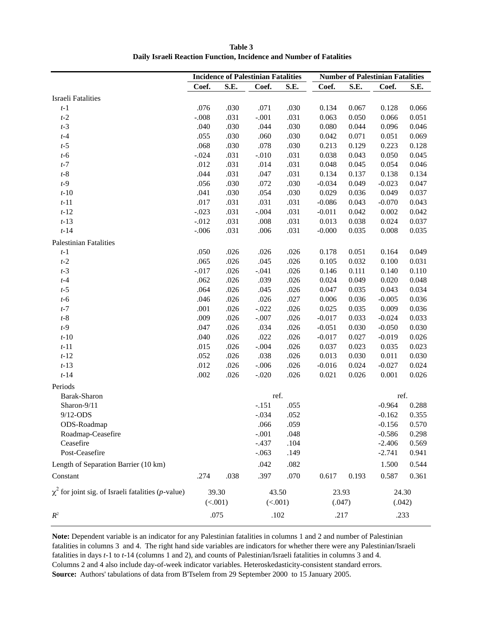|                                                                  |          |       | <b>Incidence of Palestinian Fatalities</b> |       |          | <b>Number of Palestinian Fatalities</b> |          |       |
|------------------------------------------------------------------|----------|-------|--------------------------------------------|-------|----------|-----------------------------------------|----------|-------|
|                                                                  | Coef.    | S.E.  | Coef.                                      | S.E.  | Coef.    | S.E.                                    | Coef.    | S.E.  |
| Israeli Fatalities                                               |          |       |                                            |       |          |                                         |          |       |
| $t-1$                                                            | .076     | .030  | .071                                       | .030  | 0.134    | 0.067                                   | 0.128    | 0.066 |
| $t-2$                                                            | $-.008$  | .031  | $-.001$                                    | .031  | 0.063    | 0.050                                   | 0.066    | 0.051 |
| $t-3$                                                            | .040     | .030  | .044                                       | .030  | 0.080    | 0.044                                   | 0.096    | 0.046 |
| $t-4$                                                            | .055     | .030  | .060                                       | .030  | 0.042    | 0.071                                   | 0.051    | 0.069 |
| $t-5$                                                            | .068     | .030  | .078                                       | .030  | 0.213    | 0.129                                   | 0.223    | 0.128 |
| $t-6$                                                            | $-.024$  | .031  | $-.010$                                    | .031  | 0.038    | 0.043                                   | 0.050    | 0.045 |
| $t-7$                                                            | .012     | .031  | .014                                       | .031  | 0.048    | 0.045                                   | 0.054    | 0.046 |
| $t-8$                                                            | .044     | .031  | .047                                       | .031  | 0.134    | 0.137                                   | 0.138    | 0.134 |
| $t-9$                                                            | .056     | .030  | .072                                       | .030  | $-0.034$ | 0.049                                   | $-0.023$ | 0.047 |
| $t-10$                                                           | .041     | .030  | .054                                       | .030  | 0.029    | 0.036                                   | 0.049    | 0.037 |
| $t-11$                                                           | .017     | .031  | .031                                       | .031  | $-0.086$ | 0.043                                   | $-0.070$ | 0.043 |
| $t-12$                                                           | $-.023$  | .031  | $-.004$                                    | .031  | $-0.011$ | 0.042                                   | 0.002    | 0.042 |
| $t - 13$                                                         | $-.012$  | .031  | .008                                       | .031  | 0.013    | 0.038                                   | 0.024    | 0.037 |
| $t-14$                                                           | $-.006$  | .031  | .006                                       | .031  | $-0.000$ | 0.035                                   | 0.008    | 0.035 |
| <b>Palestinian Fatalities</b>                                    |          |       |                                            |       |          |                                         |          |       |
| $t-1$                                                            | .050     | .026  | .026                                       | .026  | 0.178    | 0.051                                   | 0.164    | 0.049 |
| $t-2$                                                            | .065     | .026  | .045                                       | .026  | 0.105    | 0.032                                   | 0.100    | 0.031 |
| $t-3$                                                            | $-0.017$ | .026  | $-.041$                                    | .026  | 0.146    | 0.111                                   | 0.140    | 0.110 |
| $t-4$                                                            | .062     | .026  | .039                                       | .026  | 0.024    | 0.049                                   | 0.020    | 0.048 |
| $t-5$                                                            | .064     | .026  | .045                                       | .026  | 0.047    | 0.035                                   | 0.043    | 0.034 |
| $t-6$                                                            | .046     | .026  | .026                                       | .027  | 0.006    | 0.036                                   | $-0.005$ | 0.036 |
| $t-7$                                                            | .001     | .026  | $-.022$                                    | .026  | 0.025    | 0.035                                   | 0.009    | 0.036 |
| $t-8$                                                            | .009     | .026  | $-.007$                                    | .026  | $-0.017$ | 0.033                                   | $-0.024$ | 0.033 |
| $t-9$                                                            | .047     | .026  | .034                                       | .026  | $-0.051$ | 0.030                                   | $-0.050$ | 0.030 |
| $t-10$                                                           | .040     | .026  | .022                                       | .026  | $-0.017$ | 0.027                                   | $-0.019$ | 0.026 |
| $t-11$                                                           | .015     | .026  | $-.004$                                    | .026  | 0.037    | 0.023                                   | 0.035    | 0.023 |
| $t-12$                                                           | .052     | .026  | .038                                       | .026  | 0.013    | 0.030                                   | 0.011    | 0.030 |
| $t - 13$                                                         | .012     | .026  | $-.006$                                    | .026  | $-0.016$ | 0.024                                   | $-0.027$ | 0.024 |
| $t-14$                                                           | .002     | .026  | $-.020$                                    | .026  | 0.021    | 0.026                                   | 0.001    | 0.026 |
| Periods                                                          |          |       |                                            |       |          |                                         |          |       |
| Barak-Sharon                                                     |          |       | ref.                                       |       |          |                                         | ref.     |       |
| Sharon-9/11                                                      |          |       | $-.151$                                    | .055  |          |                                         | $-0.964$ | 0.288 |
| $9/12$ -ODS                                                      |          |       | $-.034$                                    | .052  |          |                                         | $-0.162$ | 0.355 |
| ODS-Roadmap                                                      |          |       | .066                                       | .059  |          |                                         | $-0.156$ | 0.570 |
| Roadmap-Ceasefire                                                |          |       | $-.001$                                    | .048  |          |                                         | $-0.586$ | 0.298 |
| Ceasefire                                                        |          |       | $-.437$                                    | .104  |          |                                         | $-2.406$ | 0.569 |
| Post-Ceasefire                                                   |          |       | $-.063$                                    | .149  |          |                                         | $-2.741$ | 0.941 |
|                                                                  |          |       |                                            |       |          |                                         |          |       |
| Length of Separation Barrier (10 km)                             |          |       | .042                                       | .082  |          |                                         | 1.500    | 0.544 |
| Constant                                                         | .274     | .038  | .397                                       | .070  | 0.617    | 0.193                                   | 0.587    | 0.361 |
| $\chi^2$ for joint sig. of Israeli fatalities ( <i>p</i> -value) |          | 39.30 |                                            | 43.50 | 23.93    |                                         | 24.30    |       |
|                                                                  | (<.001)  |       | (<.001)                                    |       | (.047)   |                                         | (.042)   |       |
| $R^2$                                                            |          | .075  |                                            | .102  | .217     |                                         | .233     |       |

**Table 3 Daily Israeli Reaction Function, Incidence and Number of Fatalities**

**Note:** Dependent variable is an indicator for any Palestinian fatalities in columns 1 and 2 and number of Palestinian fatalities in columns 3 and 4. The right hand side variables are indicators for whether there were any Palestinian/Israeli fatalities in days *t*-1 to *t*-14 (columns 1 and 2), and counts of Palestinian/Israeli fatalities in columns 3 and 4. Columns 2 and 4 also include day-of-week indicator variables. Heteroskedasticity-consistent standard errors. **Source:** Authors' tabulations of data from B'Tselem from 29 September 2000 to 15 January 2005.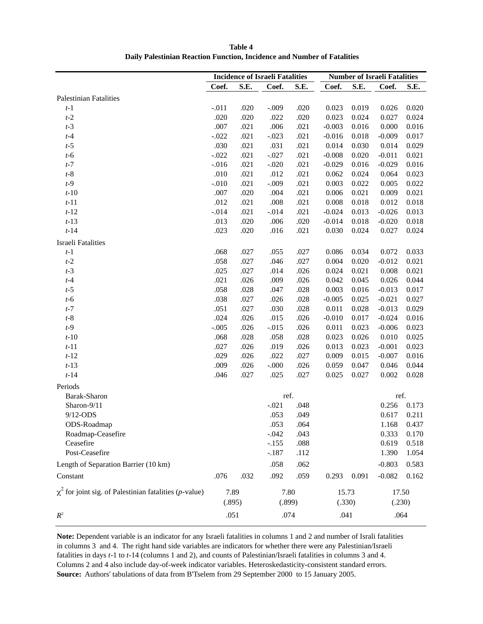|                                                             |          |        | <b>Incidence of Israeli Fatalities</b> |      |          |       | <b>Number of Israeli Fatalities</b> |       |
|-------------------------------------------------------------|----------|--------|----------------------------------------|------|----------|-------|-------------------------------------|-------|
|                                                             | Coef.    | S.E.   | Coef.                                  | S.E. | Coef.    | S.E.  | Coef.                               | S.E.  |
| <b>Palestinian Fatalities</b>                               |          |        |                                        |      |          |       |                                     |       |
| $t-1$                                                       | $-.011$  | .020   | $-.009$                                | .020 | 0.023    | 0.019 | 0.026                               | 0.020 |
| $t-2$                                                       | .020     | .020   | .022                                   | .020 | 0.023    | 0.024 | 0.027                               | 0.024 |
| $t-3$                                                       | $.007$   | .021   | .006                                   | .021 | $-0.003$ | 0.016 | 0.000                               | 0.016 |
| $t-4$                                                       | $-.022$  | .021   | $-.023$                                | .021 | $-0.016$ | 0.018 | $-0.009$                            | 0.017 |
| $t-5$                                                       | .030     | .021   | .031                                   | .021 | 0.014    | 0.030 | 0.014                               | 0.029 |
| $t-6$                                                       | $-.022$  | .021   | $-.027$                                | .021 | $-0.008$ | 0.020 | $-0.011$                            | 0.021 |
| $t-7$                                                       | $-0.016$ | .021   | $-.020$                                | .021 | $-0.029$ | 0.016 | $-0.029$                            | 0.016 |
| $t-8$                                                       | .010     | .021   | .012                                   | .021 | 0.062    | 0.024 | 0.064                               | 0.023 |
| $t-9$                                                       | $-.010$  | .021   | $-.009$                                | .021 | 0.003    | 0.022 | 0.005                               | 0.022 |
| $t-10$                                                      | $.007$   | .020   | .004                                   | .021 | 0.006    | 0.021 | 0.009                               | 0.021 |
| $t-11$                                                      | .012     | .021   | .008                                   | .021 | 0.008    | 0.018 | 0.012                               | 0.018 |
| $t-12$                                                      | $-.014$  | .021   | $-.014$                                | .021 | $-0.024$ | 0.013 | $-0.026$                            | 0.013 |
| $t - 13$                                                    | .013     | .020   | .006                                   | .020 | $-0.014$ | 0.018 | $-0.020$                            | 0.018 |
| $t - 14$                                                    | .023     | .020   | .016                                   | .021 | 0.030    | 0.024 | 0.027                               | 0.024 |
| <b>Israeli Fatalities</b>                                   |          |        |                                        |      |          |       |                                     |       |
| $t-1$                                                       | .068     | .027   | .055                                   | .027 | 0.086    | 0.034 | 0.072                               | 0.033 |
| $t-2$                                                       | .058     | .027   | .046                                   | .027 | 0.004    | 0.020 | $-0.012$                            | 0.021 |
| $t-3$                                                       | .025     | .027   | .014                                   | .026 | 0.024    | 0.021 | 0.008                               | 0.021 |
| $t-4$                                                       | .021     | .026   | .009                                   | .026 | 0.042    | 0.045 | 0.026                               | 0.044 |
| $t-5$                                                       | .058     | .028   | .047                                   | .028 | 0.003    | 0.016 | $-0.013$                            | 0.017 |
| $t-6$                                                       | .038     | .027   | .026                                   | .028 | $-0.005$ | 0.025 | $-0.021$                            | 0.027 |
| $t-7$                                                       | .051     | .027   | .030                                   | .028 | 0.011    | 0.028 | $-0.013$                            | 0.029 |
| $t-8$                                                       | .024     | .026   | .015                                   | .026 | $-0.010$ | 0.017 | $-0.024$                            | 0.016 |
| $t-9$                                                       | $-.005$  | .026   | $-.015$                                | .026 | 0.011    | 0.023 | $-0.006$                            | 0.023 |
| $t-10$                                                      | .068     | .028   | .058                                   | .028 | 0.023    | 0.026 | 0.010                               | 0.025 |
| $t-11$                                                      | .027     | .026   | .019                                   | .026 | 0.013    | 0.023 | $-0.001$                            | 0.023 |
| $t-12$                                                      | .029     | .026   | .022                                   | .027 | 0.009    | 0.015 | $-0.007$                            | 0.016 |
| $t - 13$                                                    | .009     | .026   | $-.000$                                | .026 | 0.059    | 0.047 | 0.046                               | 0.044 |
| $t - 14$                                                    | .046     | .027   | .025                                   | .027 | 0.025    | 0.027 | 0.002                               | 0.028 |
| Periods                                                     |          |        |                                        |      |          |       |                                     |       |
| Barak-Sharon                                                |          |        | ref.                                   |      |          |       | ref.                                |       |
| Sharon-9/11                                                 |          |        | $-.021$                                | .048 |          |       | 0.256                               | 0.173 |
| $9/12$ -ODS                                                 |          |        | .053                                   | .049 |          |       | 0.617                               | 0.211 |
| ODS-Roadmap                                                 |          |        | .053                                   | .064 |          |       | 1.168                               | 0.437 |
| Roadmap-Ceasefire                                           |          |        | $-.042$                                | .043 |          |       | 0.333                               | 0.170 |
| Ceasefire                                                   |          |        | $-.155$                                | .088 |          |       | 0.619                               | 0.518 |
| Post-Ceasefire                                              |          |        | $-.187$                                | .112 |          |       | 1.390                               | 1.054 |
| Length of Separation Barrier (10 km)                        |          |        | .058                                   | .062 |          |       | $-0.803$                            | 0.583 |
| Constant                                                    | .076     | .032   | .092                                   | .059 | 0.293    | 0.091 | $-0.082$                            | 0.162 |
| $\chi^2$ for joint sig. of Palestinian fatalities (p-value) |          | 7.89   |                                        | 7.80 |          | 15.73 | 17.50                               |       |
|                                                             |          | (.895) | (.899)                                 |      | (.330)   |       | (.230)                              |       |
| $R^2$                                                       |          | .051   |                                        | .074 | .041     |       |                                     | .064  |

**Table 4 Daily Palestinian Reaction Function, Incidence and Number of Fatalities**

**Note:** Dependent variable is an indicator for any Israeli fatalities in columns 1 and 2 and number of Israli fatalities in columns 3 and 4. The right hand side variables are indicators for whether there were any Palestinian/Israeli fatalities in days *t*-1 to *t*-14 (columns 1 and 2), and counts of Palestinian/Israeli fatalities in columns 3 and 4. Columns 2 and 4 also include day-of-week indicator variables. Heteroskedasticity-consistent standard errors. **Source:** Authors' tabulations of data from B'Tselem from 29 September 2000 to 15 January 2005.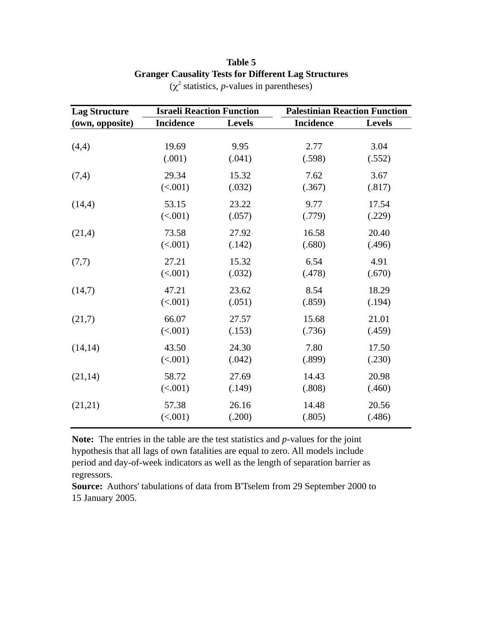| <b>Lag Structure</b> | <b>Israeli Reaction Function</b> |               | <b>Palestinian Reaction Function</b> |               |
|----------------------|----------------------------------|---------------|--------------------------------------|---------------|
| (own, opposite)      | <b>Incidence</b>                 | <b>Levels</b> | <b>Incidence</b>                     | <b>Levels</b> |
|                      |                                  |               |                                      |               |
| (4,4)                | 19.69                            | 9.95          | 2.77                                 | 3.04          |
|                      | (.001)                           | (.041)        | (.598)                               | (.552)        |
| (7,4)                | 29.34                            | 15.32         | 7.62                                 | 3.67          |
|                      | (<.001)                          | (.032)        | (.367)                               | (.817)        |
| (14,4)               | 53.15                            | 23.22         | 9.77                                 | 17.54         |
|                      | (<.001)                          | (.057)        | (.779)                               | (.229)        |
| (21,4)               | 73.58                            | 27.92         | 16.58                                | 20.40         |
|                      | (<.001)                          | (.142)        | (.680)                               | (.496)        |
| (7,7)                | 27.21                            | 15.32         | 6.54                                 | 4.91          |
|                      | (<.001)                          | (.032)        | (.478)                               | (.670)        |
| (14,7)               | 47.21                            | 23.62         | 8.54                                 | 18.29         |
|                      | (<.001)                          | (.051)        | (.859)                               | (.194)        |
| (21,7)               | 66.07                            | 27.57         | 15.68                                | 21.01         |
|                      | (<.001)                          | (.153)        | (.736)                               | (.459)        |
| (14, 14)             | 43.50                            | 24.30         | 7.80                                 | 17.50         |
|                      | (<.001)                          | (.042)        | (.899)                               | (.230)        |
| (21, 14)             | 58.72                            | 27.69         | 14.43                                | 20.98         |
|                      | (<.001)                          | (.149)        | (.808)                               | (.460)        |
| (21,21)              | 57.38                            | 26.16         | 14.48                                | 20.56         |
|                      | (<.001)                          | (.200)        | (.805)                               | (.486)        |

# **Table 5 Granger Causality Tests for Different Lag Structures**

 $(\chi^2$  statistics, *p*-values in parentheses)

**Note:** The entries in the table are the test statistics and *p*-values for the joint hypothesis that all lags of own fatalities are equal to zero. All models include period and day-of-week indicators as well as the length of separation barrier as regressors.

**Source:** Authors' tabulations of data from B'Tselem from 29 September 2000 to 15 January 2005.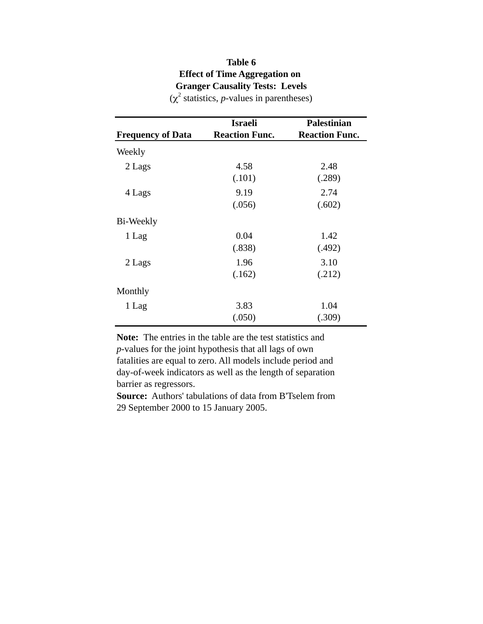# **Table 6 Effect of Time Aggregation on Granger Causality Tests: Levels**

 $(\chi^2$  statistics, *p*-values in parentheses)

|                          | <b>Israeli</b>        | <b>Palestinian</b>    |
|--------------------------|-----------------------|-----------------------|
| <b>Frequency of Data</b> | <b>Reaction Func.</b> | <b>Reaction Func.</b> |
| Weekly                   |                       |                       |
| 2 Lags                   | 4.58                  | 2.48                  |
|                          | (.101)                | (.289)                |
| 4 Lags                   | 9.19                  | 2.74                  |
|                          | (.056)                | (.602)                |
| Bi-Weekly                |                       |                       |
| 1 Lag                    | 0.04                  | 1.42                  |
|                          | (.838)                | (.492)                |
| 2 Lags                   | 1.96                  | 3.10                  |
|                          | (.162)                | (.212)                |
| Monthly                  |                       |                       |
| 1 Lag                    | 3.83                  | 1.04                  |
|                          | (.050)                | (.309)                |

**Note:** The entries in the table are the test statistics and *p*-values for the joint hypothesis that all lags of own fatalities are equal to zero. All models include period and day-of-week indicators as well as the length of separation barrier as regressors.

**Source:** Authors' tabulations of data from B'Tselem from 29 September 2000 to 15 January 2005.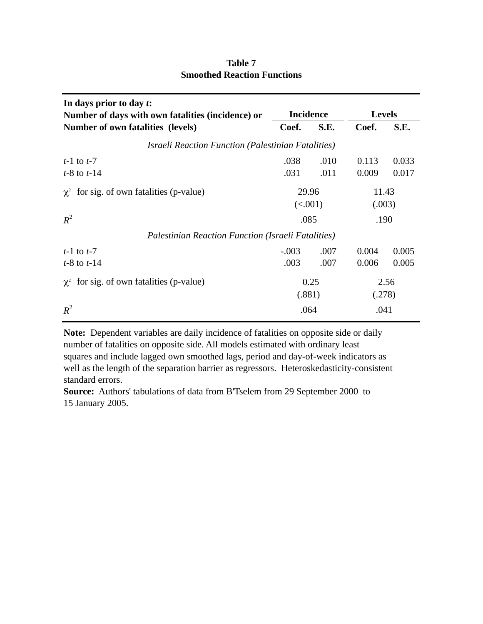| In days prior to day $t$ :<br>Number of days with own fatalities (incidence) or | <b>Incidence</b> |      | <b>Levels</b> |       |  |
|---------------------------------------------------------------------------------|------------------|------|---------------|-------|--|
| <b>Number of own fatalities (levels)</b>                                        | Coef.            | S.E. | Coef.         | S.E.  |  |
| <i><b>Israeli Reaction Function (Palestinian Fatalities)</b></i>                |                  |      |               |       |  |
| $t-1$ to $t-7$                                                                  | .038             | .010 | 0.113         | 0.033 |  |
| $t-8$ to $t-14$                                                                 | .031             | .011 | 0.009         | 0.017 |  |
| $\chi^2$ for sig. of own fatalities (p-value)                                   | 29.96            |      | 11.43         |       |  |
|                                                                                 | (<.001)          |      | (.003)        |       |  |
| $R^2$                                                                           | .085             |      | .190          |       |  |
| Palestinian Reaction Function (Israeli Fatalities)                              |                  |      |               |       |  |
| $t-1$ to $t-7$                                                                  | $-.003$          | .007 | 0.004         | 0.005 |  |
| $t-8$ to $t-14$                                                                 | .003             | .007 | 0.006         | 0.005 |  |
| $\chi^2$ for sig. of own fatalities (p-value)                                   |                  | 0.25 |               | 2.56  |  |
|                                                                                 | (.881)           |      | (.278)        |       |  |
| $R^2$                                                                           | .064             |      | .041          |       |  |

## **Table 7 Smoothed Reaction Functions**

**Note:** Dependent variables are daily incidence of fatalities on opposite side or daily number of fatalities on opposite side. All models estimated with ordinary least squares and include lagged own smoothed lags, period and day-of-week indicators as well as the length of the separation barrier as regressors. Heteroskedasticity-consistent standard errors.

**Source:** Authors' tabulations of data from B'Tselem from 29 September 2000 to 15 January 2005.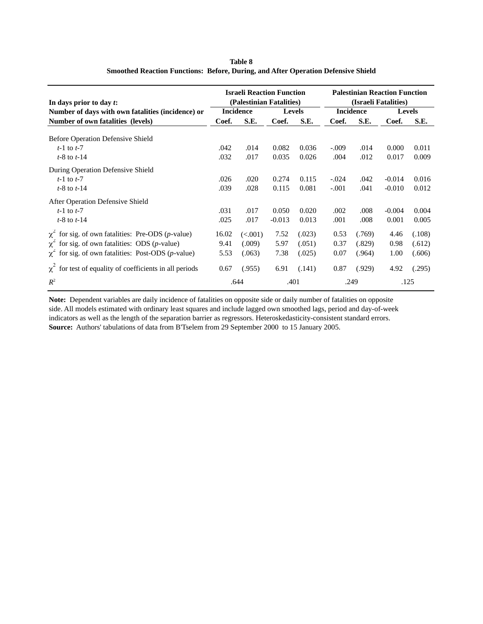| In days prior to day t:                                          |       | <b>Israeli Reaction Function</b><br>(Palestinian Fatalities) |          |               | <b>Palestinian Reaction Function</b><br>(Israeli Fatalities) |                  |               |        |
|------------------------------------------------------------------|-------|--------------------------------------------------------------|----------|---------------|--------------------------------------------------------------|------------------|---------------|--------|
| Number of days with own fatalities (incidence) or                |       | <b>Incidence</b>                                             |          | <b>Levels</b> |                                                              | <b>Incidence</b> | <b>Levels</b> |        |
| Number of own fatalities (levels)                                | Coef. | S.E.                                                         | Coef.    | S.E.          | Coef.                                                        | S.E.             | Coef.         | S.E.   |
| <b>Before Operation Defensive Shield</b>                         |       |                                                              |          |               |                                                              |                  |               |        |
| $t-1$ to $t-7$                                                   | .042  | .014                                                         | 0.082    | 0.036         | $-.009$                                                      | .014             | 0.000         | 0.011  |
| $t-8$ to $t-14$                                                  | .032  | .017                                                         | 0.035    | 0.026         | .004                                                         | .012             | 0.017         | 0.009  |
| During Operation Defensive Shield                                |       |                                                              |          |               |                                                              |                  |               |        |
| $t-1$ to $t-7$                                                   | .026  | .020                                                         | 0.274    | 0.115         | $-.024$                                                      | .042             | $-0.014$      | 0.016  |
| $t-8$ to $t-14$                                                  | .039  | .028                                                         | 0.115    | 0.081         | $-.001$                                                      | .041             | $-0.010$      | 0.012  |
| After Operation Defensive Shield                                 |       |                                                              |          |               |                                                              |                  |               |        |
| $t-1$ to $t-7$                                                   | .031  | .017                                                         | 0.050    | 0.020         | .002                                                         | .008             | $-0.004$      | 0.004  |
| $t-8$ to $t-14$                                                  | .025  | .017                                                         | $-0.013$ | 0.013         | .001                                                         | .008             | 0.001         | 0.005  |
| $\chi^2$ for sig. of own fatalities: Pre-ODS ( <i>p</i> -value)  | 16.02 | (<.001)                                                      | 7.52     | (.023)        | 0.53                                                         | (.769)           | 4.46          | (.108) |
| $\chi^2$ for sig. of own fatalities: ODS ( <i>p</i> -value)      | 9.41  | (.009)                                                       | 5.97     | (.051)        | 0.37                                                         | (.829)           | 0.98          | (.612) |
| $\chi^2$ for sig. of own fatalities: Post-ODS ( <i>p</i> -value) | 5.53  | (.063)                                                       | 7.38     | (.025)        | 0.07                                                         | (.964)           | 1.00          | (.606) |
| $\chi^2$ for test of equality of coefficients in all periods     | 0.67  | (.955)                                                       | 6.91     | (.141)        | 0.87                                                         | (.929)           | 4.92          | (.295) |
| $R^2$                                                            |       | .644                                                         | .401     |               |                                                              | .249             | .125          |        |

|                                                                                          | Table 8 |  |  |
|------------------------------------------------------------------------------------------|---------|--|--|
| <b>Smoothed Reaction Functions: Before, During, and After Operation Defensive Shield</b> |         |  |  |

**Note:** Dependent variables are daily incidence of fatalities on opposite side or daily number of fatalities on opposite side. All models estimated with ordinary least squares and include lagged own smoothed lags, period and day-of-week indicators as well as the length of the separation barrier as regressors. Heteroskedasticity-consistent standard errors. **Source:** Authors' tabulations of data from B'Tselem from 29 September 2000 to 15 January 2005.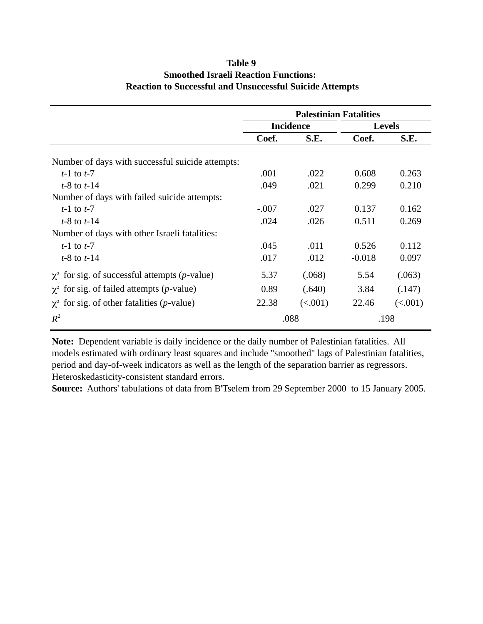### **Table 9 Smoothed Israeli Reaction Functions: Reaction to Successful and Unsuccessful Suicide Attempts**

|                                                             |         | <b>Palestinian Fatalities</b> |          |               |
|-------------------------------------------------------------|---------|-------------------------------|----------|---------------|
|                                                             |         | <b>Incidence</b>              |          | <b>Levels</b> |
|                                                             | Coef.   | S.E.                          | Coef.    | S.E.          |
| Number of days with successful suicide attempts:            |         |                               |          |               |
| $t-1$ to $t-7$                                              | .001    | .022                          | 0.608    | 0.263         |
| $t-8$ to $t-14$                                             | .049    | .021                          | 0.299    | 0.210         |
| Number of days with failed suicide attempts:                |         |                               |          |               |
| $t-1$ to $t-7$                                              | $-.007$ | .027                          | 0.137    | 0.162         |
| $t-8$ to $t-14$                                             | .024    | .026                          | 0.511    | 0.269         |
| Number of days with other Israeli fatalities:               |         |                               |          |               |
| $t-1$ to $t-7$                                              | .045    | .011                          | 0.526    | 0.112         |
| $t-8$ to $t-14$                                             | .017    | .012                          | $-0.018$ | 0.097         |
| $\chi^2$ for sig. of successful attempts ( <i>p</i> -value) | 5.37    | (.068)                        | 5.54     | (.063)        |
| $\chi^2$ for sig. of failed attempts ( <i>p</i> -value)     | 0.89    | (.640)                        | 3.84     | (.147)        |
| $\chi^2$ for sig. of other fatalities ( <i>p</i> -value)    | 22.38   | (<.001)                       | 22.46    | (<.001)       |
| $R^2$                                                       |         | .088                          |          | .198          |

**Note:** Dependent variable is daily incidence or the daily number of Palestinian fatalities. All models estimated with ordinary least squares and include "smoothed" lags of Palestinian fatalities, period and day-of-week indicators as well as the length of the separation barrier as regressors. Heteroskedasticity-consistent standard errors.

**Source:** Authors' tabulations of data from B'Tselem from 29 September 2000 to 15 January 2005.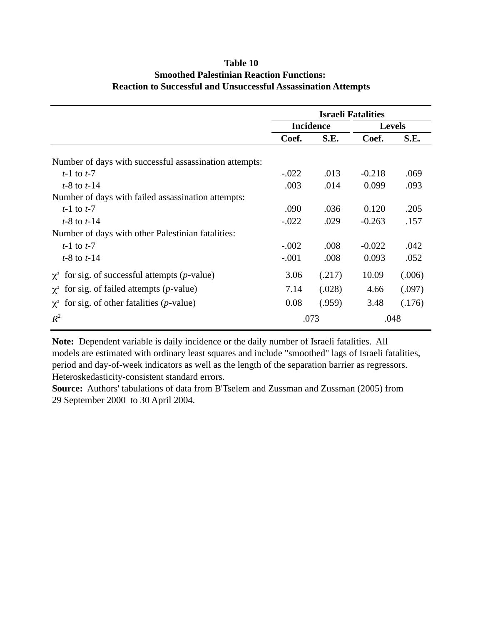### **Table 10 Smoothed Palestinian Reaction Functions: Reaction to Successful and Unsuccessful Assassination Attempts**

|                                                             | <b>Israeli Fatalities</b> |                  |          |               |  |
|-------------------------------------------------------------|---------------------------|------------------|----------|---------------|--|
|                                                             |                           | <b>Incidence</b> |          | <b>Levels</b> |  |
|                                                             | Coef.                     | S.E.             | Coef.    | S.E.          |  |
| Number of days with successful assassination attempts:      |                           |                  |          |               |  |
| $t-1$ to $t-7$                                              | $-.022$                   | .013             | $-0.218$ | .069          |  |
| $t-8$ to $t-14$                                             | .003                      | .014             | 0.099    | .093          |  |
| Number of days with failed assassination attempts:          |                           |                  |          |               |  |
| $t-1$ to $t-7$                                              | .090                      | .036             | 0.120    | .205          |  |
| $t-8$ to $t-14$                                             | $-.022$                   | .029             | $-0.263$ | .157          |  |
| Number of days with other Palestinian fatalities:           |                           |                  |          |               |  |
| $t-1$ to $t-7$                                              | $-.002$                   | .008             | $-0.022$ | .042          |  |
| $t-8$ to $t-14$                                             | $-.001$                   | .008             | 0.093    | .052          |  |
| $\chi^2$ for sig. of successful attempts ( <i>p</i> -value) | 3.06                      | (.217)           | 10.09    | (.006)        |  |
| $\chi^2$ for sig. of failed attempts ( <i>p</i> -value)     | 7.14                      | (.028)           | 4.66     | (.097)        |  |
| $\chi^2$ for sig. of other fatalities ( <i>p</i> -value)    | 0.08                      | (.959)           | 3.48     | (.176)        |  |
| $R^2$                                                       |                           | .073             |          | .048          |  |

**Note:** Dependent variable is daily incidence or the daily number of Israeli fatalities. All models are estimated with ordinary least squares and include "smoothed" lags of Israeli fatalities, period and day-of-week indicators as well as the length of the separation barrier as regressors. Heteroskedasticity-consistent standard errors.

**Source:** Authors' tabulations of data from B'Tselem and Zussman and Zussman (2005) from 29 September 2000 to 30 April 2004.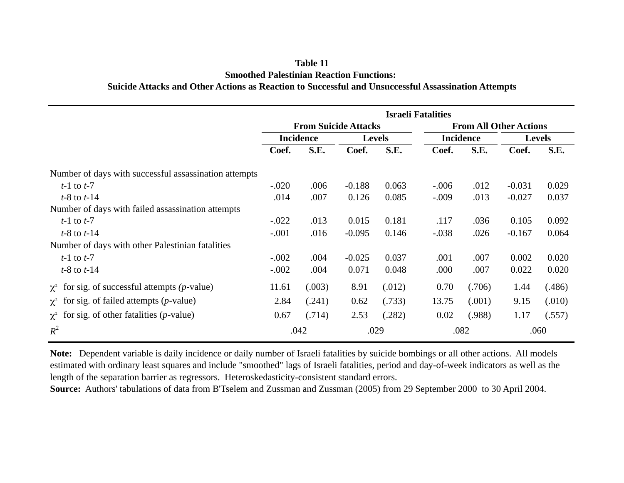### **Smoothed Palestinian Reaction Functions: Suicide Attacks and Other Actions as Reaction to Successful and Unsuccessful Assassination Attempts Table 11**

|                                                             | <b>Israeli Fatalities</b> |        |                             |               |         |                  |                               |        |
|-------------------------------------------------------------|---------------------------|--------|-----------------------------|---------------|---------|------------------|-------------------------------|--------|
|                                                             |                           |        | <b>From Suicide Attacks</b> |               |         |                  | <b>From All Other Actions</b> |        |
|                                                             | <b>Incidence</b>          |        |                             | <b>Levels</b> |         | <b>Incidence</b> | <b>Levels</b>                 |        |
|                                                             | Coef.                     | S.E.   | Coef.                       | S.E.          | Coef.   | S.E.             | Coef.                         | S.E.   |
| Number of days with successful assassination attempts       |                           |        |                             |               |         |                  |                               |        |
| $t-1$ to $t-7$                                              | $-.020$                   | .006   | $-0.188$                    | 0.063         | $-.006$ | .012             | $-0.031$                      | 0.029  |
| $t-8$ to $t-14$                                             | .014                      | .007   | 0.126                       | 0.085         | $-.009$ | .013             | $-0.027$                      | 0.037  |
| Number of days with failed assassination attempts           |                           |        |                             |               |         |                  |                               |        |
| $t-1$ to $t-7$                                              | $-.022$                   | .013   | 0.015                       | 0.181         | .117    | .036             | 0.105                         | 0.092  |
| $t-8$ to $t-14$                                             | $-.001$                   | .016   | $-0.095$                    | 0.146         | $-.038$ | .026             | $-0.167$                      | 0.064  |
| Number of days with other Palestinian fatalities            |                           |        |                             |               |         |                  |                               |        |
| $t-1$ to $t-7$                                              | $-.002$                   | .004   | $-0.025$                    | 0.037         | .001    | .007             | 0.002                         | 0.020  |
| $t-8$ to $t-14$                                             | $-.002$                   | .004   | 0.071                       | 0.048         | .000    | .007             | 0.022                         | 0.020  |
| $\chi^2$ for sig. of successful attempts ( <i>p</i> -value) | 11.61                     | (.003) | 8.91                        | (.012)        | 0.70    | (.706)           | 1.44                          | (.486) |
| $\chi^2$ for sig. of failed attempts ( <i>p</i> -value)     | 2.84                      | (.241) | 0.62                        | (.733)        | 13.75   | (.001)           | 9.15                          | (.010) |
| $\chi^2$ for sig. of other fatalities ( <i>p</i> -value)    | 0.67                      | (.714) | 2.53                        | (.282)        | 0.02    | (.988)           | 1.17                          | (.557) |
| $R^2$                                                       |                           | .042   |                             | .029          |         | .082             |                               | .060   |

**Note:** Dependent variable is daily incidence or daily number of Israeli fatalities by suicide bombings or all other actions. All models estimated with ordinary least squares and include "smoothed" lags of Israeli fatalities, period and day-of-week indicators as well as the length of the separation barrier as regressors. Heteroskedasticity-consistent standard errors.

**Source:** Authors' tabulations of data from B'Tselem and Zussman and Zussman (2005) from 29 September 2000 to 30 April 2004.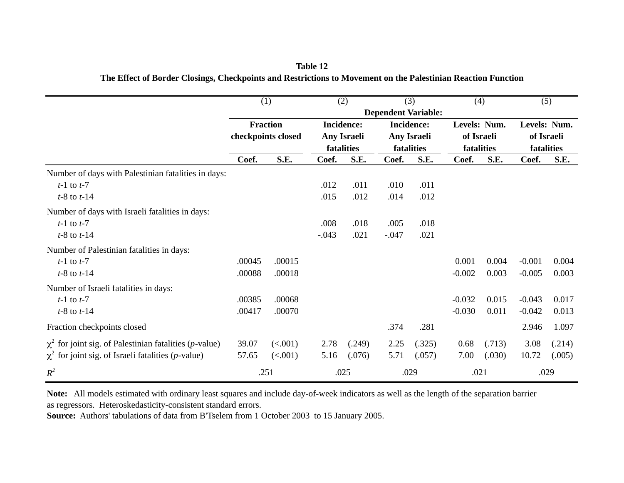| Table 12                                                                                                     |
|--------------------------------------------------------------------------------------------------------------|
| The Effect of Border Closings, Checkpoints and Restrictions to Movement on the Palestinian Reaction Function |

|                                                                      |                                       | (1)     |                                                       | $\overline{(2)}$ |                           | (3)               |                          | (4)          |                          | (5)          |  |
|----------------------------------------------------------------------|---------------------------------------|---------|-------------------------------------------------------|------------------|---------------------------|-------------------|--------------------------|--------------|--------------------------|--------------|--|
|                                                                      | <b>Dependent Variable:</b>            |         |                                                       |                  |                           |                   |                          |              |                          |              |  |
|                                                                      | <b>Fraction</b><br>checkpoints closed |         | <b>Incidence:</b><br><b>Any Israeli</b><br>fatalities |                  |                           | <b>Incidence:</b> |                          | Levels: Num. |                          | Levels: Num. |  |
|                                                                      |                                       |         |                                                       |                  | Any Israeli<br>fatalities |                   | of Israeli<br>fatalities |              | of Israeli<br>fatalities |              |  |
|                                                                      |                                       |         |                                                       |                  |                           |                   |                          |              |                          |              |  |
|                                                                      | Coef.                                 | S.E.    | Coef.                                                 | S.E.             | Coef.                     | S.E.              | Coef.                    | S.E.         | Coef.                    | S.E.         |  |
| Number of days with Palestinian fatalities in days:                  |                                       |         |                                                       |                  |                           |                   |                          |              |                          |              |  |
| $t-1$ to $t-7$                                                       |                                       |         | .012                                                  | .011             | .010                      | .011              |                          |              |                          |              |  |
| $t-8$ to $t-14$                                                      |                                       |         | .015                                                  | .012             | .014                      | .012              |                          |              |                          |              |  |
| Number of days with Israeli fatalities in days:                      |                                       |         |                                                       |                  |                           |                   |                          |              |                          |              |  |
| $t-1$ to $t-7$                                                       |                                       |         | .008                                                  | .018             | .005                      | .018              |                          |              |                          |              |  |
| $t-8$ to $t-14$                                                      |                                       |         | $-.043$                                               | .021             | $-.047$                   | .021              |                          |              |                          |              |  |
| Number of Palestinian fatalities in days:                            |                                       |         |                                                       |                  |                           |                   |                          |              |                          |              |  |
| $t-1$ to $t-7$                                                       | .00045                                | .00015  |                                                       |                  |                           |                   | 0.001                    | 0.004        | $-0.001$                 | 0.004        |  |
| $t-8$ to $t-14$                                                      | .00088                                | .00018  |                                                       |                  |                           |                   | $-0.002$                 | 0.003        | $-0.005$                 | 0.003        |  |
| Number of Israeli fatalities in days:                                |                                       |         |                                                       |                  |                           |                   |                          |              |                          |              |  |
| $t-1$ to $t-7$                                                       | .00385                                | .00068  |                                                       |                  |                           |                   | $-0.032$                 | 0.015        | $-0.043$                 | 0.017        |  |
| $t-8$ to $t-14$                                                      | .00417                                | .00070  |                                                       |                  |                           |                   | $-0.030$                 | 0.011        | $-0.042$                 | 0.013        |  |
| Fraction checkpoints closed                                          |                                       |         |                                                       |                  | .374                      | .281              |                          |              | 2.946                    | 1.097        |  |
| $\chi^2$ for joint sig. of Palestinian fatalities ( <i>p</i> -value) | 39.07                                 | (<.001) | 2.78                                                  | (.249)           | 2.25                      | (.325)            | 0.68                     | (.713)       | 3.08                     | (.214)       |  |
| $\chi^2$ for joint sig. of Israeli fatalities ( <i>p</i> -value)     | 57.65                                 | (<.001) | 5.16                                                  | (.076)           | 5.71                      | (.057)            | 7.00                     | (.030)       | 10.72                    | (.005)       |  |
| $R^2$                                                                |                                       | .251    |                                                       | .025             |                           | .029              |                          | .021         |                          | .029         |  |

**Note:** All models estimated with ordinary least squares and include day-of-week indicators as well as the length of the separation barrier as regressors. Heteroskedasticity-consistent standard errors.

**Source:** Authors' tabulations of data from B'Tselem from 1 October 2003 to 15 January 2005.